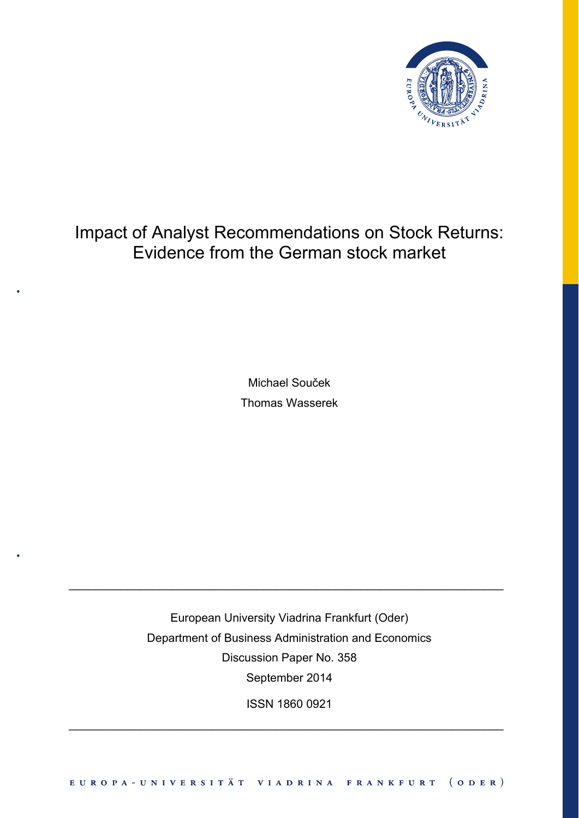

# Impact of Analyst Recommendations on Stock Returns: Evidence from the German stock market

Michael Souček Thomas Wasserek

European University Viadrina Frankfurt (Oder) Department of Business Administration and Economics Discussion Paper No. 358 September 2014

 $\_$  , and the set of the set of the set of the set of the set of the set of the set of the set of the set of the set of the set of the set of the set of the set of the set of the set of the set of the set of the set of th

ISSN 1860 0921

 $\_$  , and the set of the set of the set of the set of the set of the set of the set of the set of the set of the set of the set of the set of the set of the set of the set of the set of the set of the set of the set of th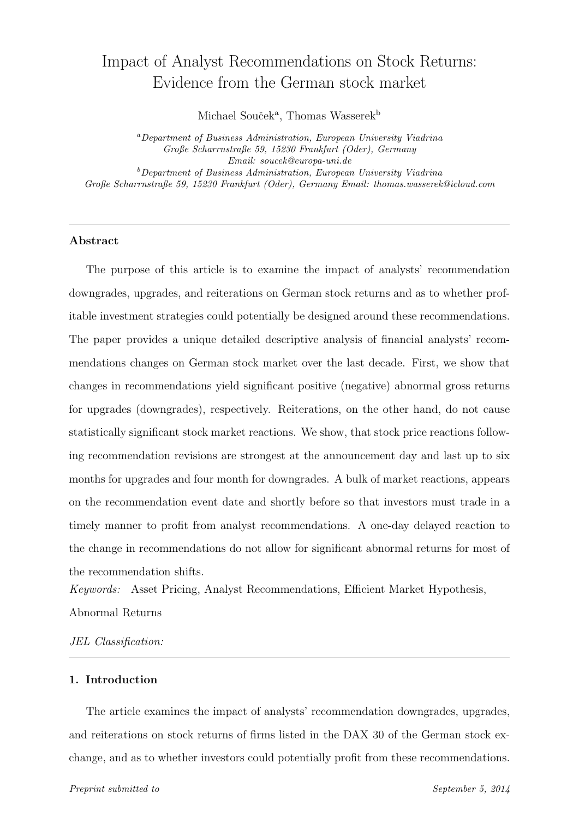# Impact of Analyst Recommendations on Stock Returns: Evidence from the German stock market

Michael Souček<sup>a</sup>, Thomas Wasserek<sup>b</sup>

<sup>a</sup>Department of Business Administration, European University Viadrina Große Scharrnstraße 59, 15230 Frankfurt (Oder), Germany Email: soucek@europa-uni.de  $b$ Department of Business Administration, European University Viadrina Große Scharrnstraße 59, 15230 Frankfurt (Oder), Germany Email: thomas.wasserek@icloud.com

# Abstract

The purpose of this article is to examine the impact of analysts' recommendation downgrades, upgrades, and reiterations on German stock returns and as to whether profitable investment strategies could potentially be designed around these recommendations. The paper provides a unique detailed descriptive analysis of financial analysts' recommendations changes on German stock market over the last decade. First, we show that changes in recommendations yield significant positive (negative) abnormal gross returns for upgrades (downgrades), respectively. Reiterations, on the other hand, do not cause statistically significant stock market reactions. We show, that stock price reactions following recommendation revisions are strongest at the announcement day and last up to six months for upgrades and four month for downgrades. A bulk of market reactions, appears on the recommendation event date and shortly before so that investors must trade in a timely manner to profit from analyst recommendations. A one-day delayed reaction to the change in recommendations do not allow for significant abnormal returns for most of the recommendation shifts.

Keywords: Asset Pricing, Analyst Recommendations, Efficient Market Hypothesis, Abnormal Returns

JEL Classification:

## 1. Introduction

The article examines the impact of analysts' recommendation downgrades, upgrades, and reiterations on stock returns of firms listed in the DAX 30 of the German stock exchange, and as to whether investors could potentially profit from these recommendations.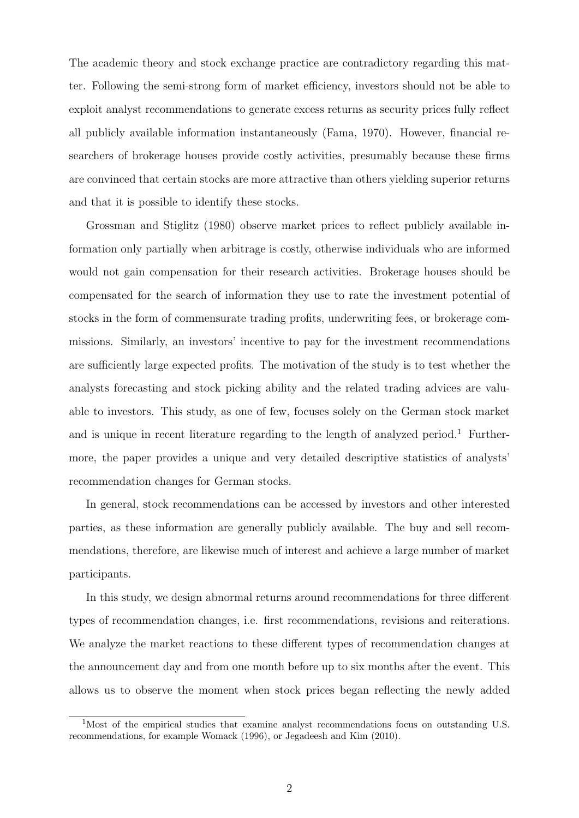The academic theory and stock exchange practice are contradictory regarding this matter. Following the semi-strong form of market efficiency, investors should not be able to exploit analyst recommendations to generate excess returns as security prices fully reflect all publicly available information instantaneously (Fama, 1970). However, financial researchers of brokerage houses provide costly activities, presumably because these firms are convinced that certain stocks are more attractive than others yielding superior returns and that it is possible to identify these stocks.

Grossman and Stiglitz (1980) observe market prices to reflect publicly available information only partially when arbitrage is costly, otherwise individuals who are informed would not gain compensation for their research activities. Brokerage houses should be compensated for the search of information they use to rate the investment potential of stocks in the form of commensurate trading profits, underwriting fees, or brokerage commissions. Similarly, an investors' incentive to pay for the investment recommendations are sufficiently large expected profits. The motivation of the study is to test whether the analysts forecasting and stock picking ability and the related trading advices are valuable to investors. This study, as one of few, focuses solely on the German stock market and is unique in recent literature regarding to the length of analyzed period.<sup>1</sup> Furthermore, the paper provides a unique and very detailed descriptive statistics of analysts' recommendation changes for German stocks.

In general, stock recommendations can be accessed by investors and other interested parties, as these information are generally publicly available. The buy and sell recommendations, therefore, are likewise much of interest and achieve a large number of market participants.

In this study, we design abnormal returns around recommendations for three different types of recommendation changes, i.e. first recommendations, revisions and reiterations. We analyze the market reactions to these different types of recommendation changes at the announcement day and from one month before up to six months after the event. This allows us to observe the moment when stock prices began reflecting the newly added

 $1$ Most of the empirical studies that examine analyst recommendations focus on outstanding U.S. recommendations, for example Womack (1996), or Jegadeesh and Kim (2010).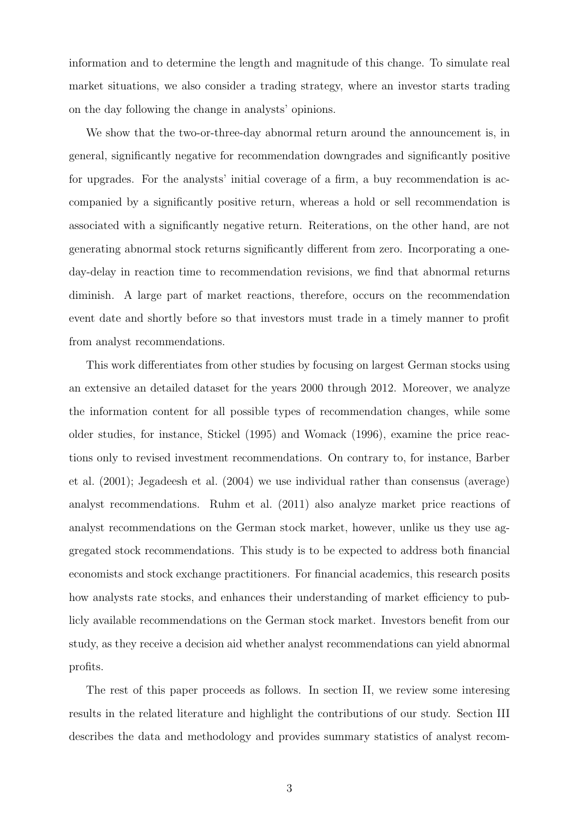information and to determine the length and magnitude of this change. To simulate real market situations, we also consider a trading strategy, where an investor starts trading on the day following the change in analysts' opinions.

We show that the two-or-three-day abnormal return around the announcement is, in general, significantly negative for recommendation downgrades and significantly positive for upgrades. For the analysts' initial coverage of a firm, a buy recommendation is accompanied by a significantly positive return, whereas a hold or sell recommendation is associated with a significantly negative return. Reiterations, on the other hand, are not generating abnormal stock returns significantly different from zero. Incorporating a oneday-delay in reaction time to recommendation revisions, we find that abnormal returns diminish. A large part of market reactions, therefore, occurs on the recommendation event date and shortly before so that investors must trade in a timely manner to profit from analyst recommendations.

This work differentiates from other studies by focusing on largest German stocks using an extensive an detailed dataset for the years 2000 through 2012. Moreover, we analyze the information content for all possible types of recommendation changes, while some older studies, for instance, Stickel (1995) and Womack (1996), examine the price reactions only to revised investment recommendations. On contrary to, for instance, Barber et al. (2001); Jegadeesh et al. (2004) we use individual rather than consensus (average) analyst recommendations. Ruhm et al. (2011) also analyze market price reactions of analyst recommendations on the German stock market, however, unlike us they use aggregated stock recommendations. This study is to be expected to address both financial economists and stock exchange practitioners. For financial academics, this research posits how analysts rate stocks, and enhances their understanding of market efficiency to publicly available recommendations on the German stock market. Investors benefit from our study, as they receive a decision aid whether analyst recommendations can yield abnormal profits.

The rest of this paper proceeds as follows. In section II, we review some interesing results in the related literature and highlight the contributions of our study. Section III describes the data and methodology and provides summary statistics of analyst recom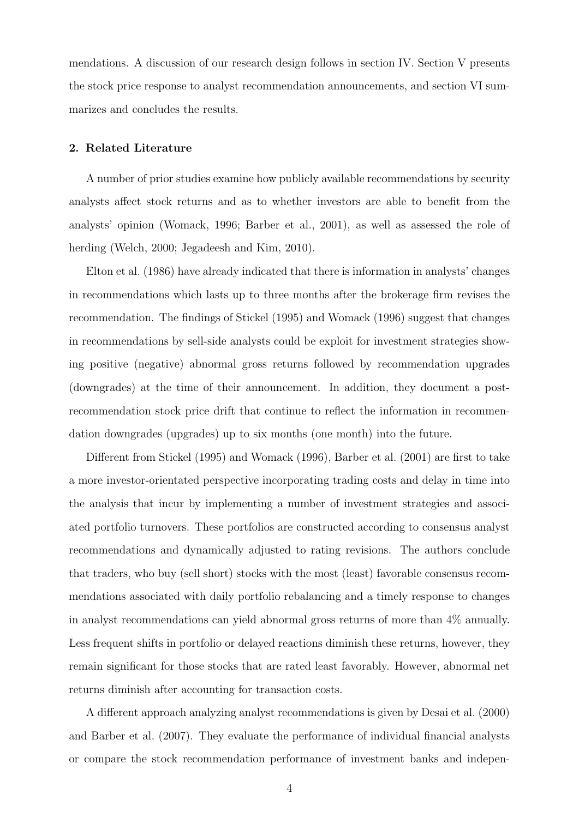mendations. A discussion of our research design follows in section IV. Section V presents the stock price response to analyst recommendation announcements, and section VI summarizes and concludes the results.

#### 2. Related Literature

A number of prior studies examine how publicly available recommendations by security analysts affect stock returns and as to whether investors are able to benefit from the analysts' opinion (Womack, 1996; Barber et al., 2001), as well as assessed the role of herding (Welch, 2000; Jegadeesh and Kim, 2010).

Elton et al. (1986) have already indicated that there is information in analysts' changes in recommendations which lasts up to three months after the brokerage firm revises the recommendation. The findings of Stickel (1995) and Womack (1996) suggest that changes in recommendations by sell-side analysts could be exploit for investment strategies showing positive (negative) abnormal gross returns followed by recommendation upgrades (downgrades) at the time of their announcement. In addition, they document a postrecommendation stock price drift that continue to reflect the information in recommendation downgrades (upgrades) up to six months (one month) into the future.

Different from Stickel (1995) and Womack (1996), Barber et al. (2001) are first to take a more investor-orientated perspective incorporating trading costs and delay in time into the analysis that incur by implementing a number of investment strategies and associated portfolio turnovers. These portfolios are constructed according to consensus analyst recommendations and dynamically adjusted to rating revisions. The authors conclude that traders, who buy (sell short) stocks with the most (least) favorable consensus recommendations associated with daily portfolio rebalancing and a timely response to changes in analyst recommendations can yield abnormal gross returns of more than 4% annually. Less frequent shifts in portfolio or delayed reactions diminish these returns, however, they remain significant for those stocks that are rated least favorably. However, abnormal net returns diminish after accounting for transaction costs.

A different approach analyzing analyst recommendations is given by Desai et al. (2000) and Barber et al. (2007). They evaluate the performance of individual financial analysts or compare the stock recommendation performance of investment banks and indepen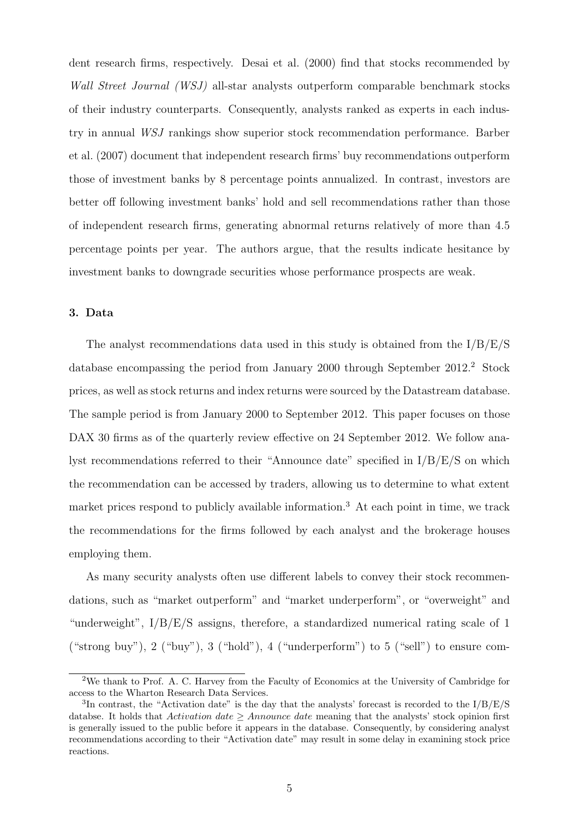dent research firms, respectively. Desai et al. (2000) find that stocks recommended by Wall Street Journal (WSJ) all-star analysts outperform comparable benchmark stocks of their industry counterparts. Consequently, analysts ranked as experts in each industry in annual WSJ rankings show superior stock recommendation performance. Barber et al. (2007) document that independent research firms' buy recommendations outperform those of investment banks by 8 percentage points annualized. In contrast, investors are better off following investment banks' hold and sell recommendations rather than those of independent research firms, generating abnormal returns relatively of more than 4.5 percentage points per year. The authors argue, that the results indicate hesitance by investment banks to downgrade securities whose performance prospects are weak.

#### 3. Data

The analyst recommendations data used in this study is obtained from the I/B/E/S database encompassing the period from January 2000 through September 2012.<sup>2</sup> Stock prices, as well as stock returns and index returns were sourced by the Datastream database. The sample period is from January 2000 to September 2012. This paper focuses on those DAX 30 firms as of the quarterly review effective on 24 September 2012. We follow analyst recommendations referred to their "Announce date" specified in I/B/E/S on which the recommendation can be accessed by traders, allowing us to determine to what extent market prices respond to publicly available information.<sup>3</sup> At each point in time, we track the recommendations for the firms followed by each analyst and the brokerage houses employing them.

As many security analysts often use different labels to convey their stock recommendations, such as "market outperform" and "market underperform", or "overweight" and "underweight",  $I/B/E/S$  assigns, therefore, a standardized numerical rating scale of 1 ("strong buy"),  $2$  ("buy"),  $3$  ("hold"),  $4$  ("underperform") to  $5$  ("sell") to ensure com-

<sup>&</sup>lt;sup>2</sup>We thank to Prof. A. C. Harvey from the Faculty of Economics at the University of Cambridge for access to the Wharton Research Data Services.

<sup>&</sup>lt;sup>3</sup>In contrast, the "Activation date" is the day that the analysts' forecast is recorded to the  $I/B/E/S$ databse. It holds that Activation date  $\geq$  Announce date meaning that the analysts' stock opinion first is generally issued to the public before it appears in the database. Consequently, by considering analyst recommendations according to their "Activation date" may result in some delay in examining stock price reactions.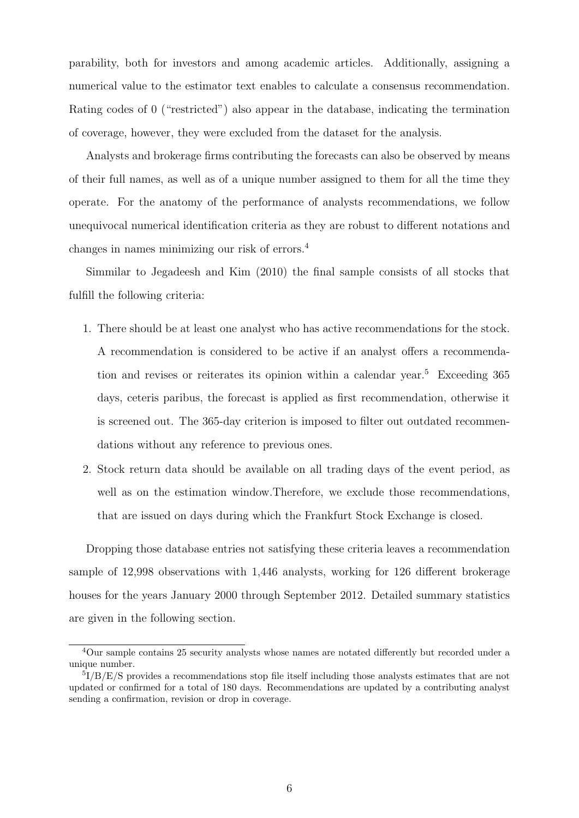parability, both for investors and among academic articles. Additionally, assigning a numerical value to the estimator text enables to calculate a consensus recommendation. Rating codes of 0 ("restricted") also appear in the database, indicating the termination of coverage, however, they were excluded from the dataset for the analysis.

Analysts and brokerage firms contributing the forecasts can also be observed by means of their full names, as well as of a unique number assigned to them for all the time they operate. For the anatomy of the performance of analysts recommendations, we follow unequivocal numerical identification criteria as they are robust to different notations and changes in names minimizing our risk of errors.<sup>4</sup>

Simmilar to Jegadeesh and Kim (2010) the final sample consists of all stocks that fulfill the following criteria:

- 1. There should be at least one analyst who has active recommendations for the stock. A recommendation is considered to be active if an analyst offers a recommendation and revises or reiterates its opinion within a calendar year.<sup>5</sup> Exceeding  $365$ days, ceteris paribus, the forecast is applied as first recommendation, otherwise it is screened out. The 365-day criterion is imposed to filter out outdated recommendations without any reference to previous ones.
- 2. Stock return data should be available on all trading days of the event period, as well as on the estimation window.Therefore, we exclude those recommendations, that are issued on days during which the Frankfurt Stock Exchange is closed.

Dropping those database entries not satisfying these criteria leaves a recommendation sample of 12,998 observations with 1,446 analysts, working for 126 different brokerage houses for the years January 2000 through September 2012. Detailed summary statistics are given in the following section.

<sup>4</sup>Our sample contains 25 security analysts whose names are notated differently but recorded under a unique number.

<sup>&</sup>lt;sup>5</sup>I/B/E/S provides a recommendations stop file itself including those analysts estimates that are not updated or confirmed for a total of 180 days. Recommendations are updated by a contributing analyst sending a confirmation, revision or drop in coverage.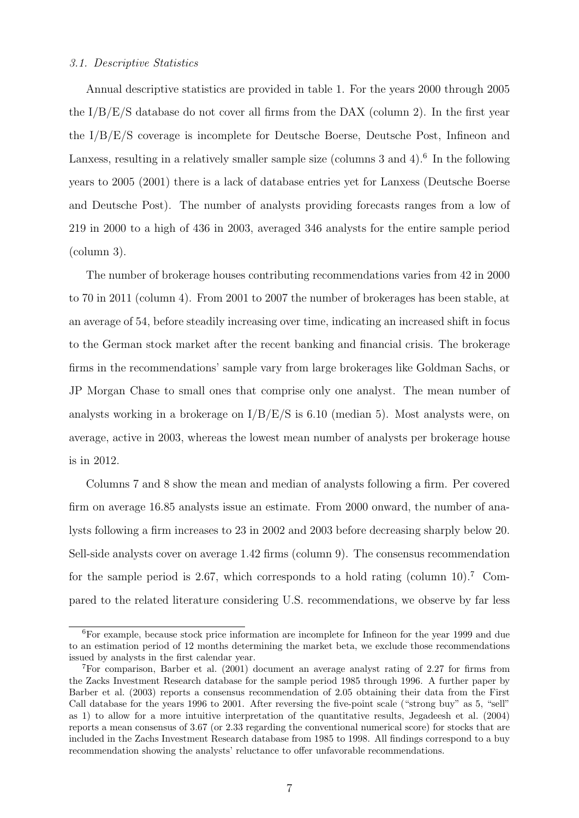#### 3.1. Descriptive Statistics

Annual descriptive statistics are provided in table 1. For the years 2000 through 2005 the  $I/B/E/S$  database do not cover all firms from the DAX (column 2). In the first year the I/B/E/S coverage is incomplete for Deutsche Boerse, Deutsche Post, Infineon and Lanxess, resulting in a relatively smaller sample size (columns 3 and 4).<sup>6</sup> In the following years to 2005 (2001) there is a lack of database entries yet for Lanxess (Deutsche Boerse and Deutsche Post). The number of analysts providing forecasts ranges from a low of 219 in 2000 to a high of 436 in 2003, averaged 346 analysts for the entire sample period (column 3).

The number of brokerage houses contributing recommendations varies from 42 in 2000 to 70 in 2011 (column 4). From 2001 to 2007 the number of brokerages has been stable, at an average of 54, before steadily increasing over time, indicating an increased shift in focus to the German stock market after the recent banking and financial crisis. The brokerage firms in the recommendations' sample vary from large brokerages like Goldman Sachs, or JP Morgan Chase to small ones that comprise only one analyst. The mean number of analysts working in a brokerage on I/B/E/S is 6.10 (median 5). Most analysts were, on average, active in 2003, whereas the lowest mean number of analysts per brokerage house is in 2012.

Columns 7 and 8 show the mean and median of analysts following a firm. Per covered firm on average 16.85 analysts issue an estimate. From 2000 onward, the number of analysts following a firm increases to 23 in 2002 and 2003 before decreasing sharply below 20. Sell-side analysts cover on average 1.42 firms (column 9). The consensus recommendation for the sample period is 2.67, which corresponds to a hold rating (column 10).<sup>7</sup> Compared to the related literature considering U.S. recommendations, we observe by far less

<sup>6</sup>For example, because stock price information are incomplete for Infineon for the year 1999 and due to an estimation period of 12 months determining the market beta, we exclude those recommendations issued by analysts in the first calendar year.

<sup>7</sup>For comparison, Barber et al. (2001) document an average analyst rating of 2.27 for firms from the Zacks Investment Research database for the sample period 1985 through 1996. A further paper by Barber et al. (2003) reports a consensus recommendation of 2.05 obtaining their data from the First Call database for the years 1996 to 2001. After reversing the five-point scale ("strong buy" as 5, "sell" as 1) to allow for a more intuitive interpretation of the quantitative results, Jegadeesh et al. (2004) reports a mean consensus of 3.67 (or 2.33 regarding the conventional numerical score) for stocks that are included in the Zachs Investment Research database from 1985 to 1998. All findings correspond to a buy recommendation showing the analysts' reluctance to offer unfavorable recommendations.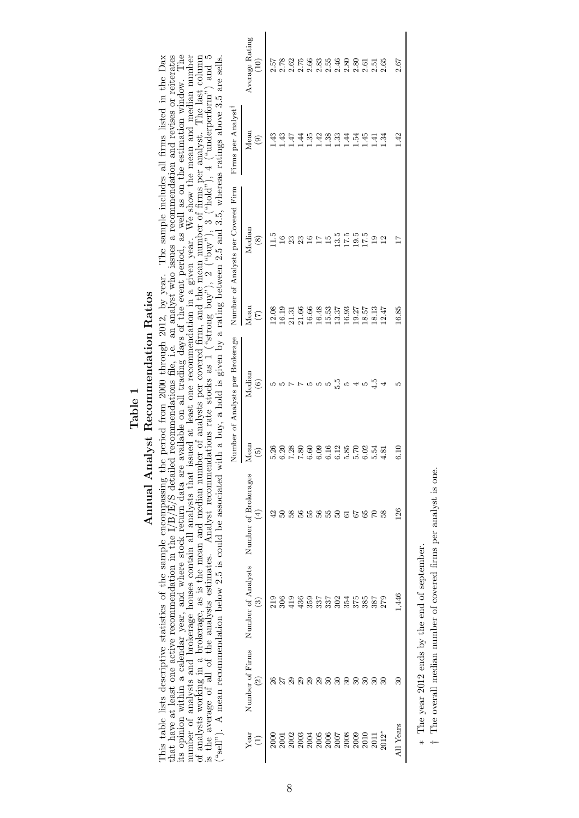# Table 1<br>Annual Analyst Recommendation Ratios Annual Analyst Recommendation Ratios

This table lists descriptive statistics of the sample encompassing the period from 2000 through 2012, by year. The sample includes all firms listed in the Dax that have at least one active recommendation in the  $1/B/E/S$  det of analysts working in a brokerage, as is the mean and median number of analysts per covered firm, and the mean number of firms per analyst. The last column is the average of all of the analysts estimates. Analyst recomme This table lists descriptive statistics of the sample encompassing the period from 2000 through 2012, by year. The sample includes all firms listed in the Dax that have at least one active recommendation in the  $|I|$   $|S|$ number of analysts and brokerage houses contain all analysts that issued at least one recommendation in a given year. We show the mean and median number ("sell"). A mean recommendation below 2.5 is could be associated with a buy, a hold is given by a rating between 2.5 and 3.5, whereas ratings above 3.5 are sells.

|                     |                                  |                          |                                              |                                                            | Number of Analysts per Brokerage |                                | Number of Analysts per Covered Firm  | Firms per Analyst <sup>1</sup>                 |                                                                                            |
|---------------------|----------------------------------|--------------------------|----------------------------------------------|------------------------------------------------------------|----------------------------------|--------------------------------|--------------------------------------|------------------------------------------------|--------------------------------------------------------------------------------------------|
| Year<br>$\bigoplus$ | Number of Firms<br>$\widehat{c}$ | Number of Analysts<br>3) | Number of Brokerages<br>$\left( \pm \right)$ | Mean<br>$\widetilde{\mathfrak{G}}$                         | Median<br>$\widehat{\circ}$      | Mean<br>$(\tilde{\mathbf{C}})$ | Median<br>$\circledast$              | Mean<br>$\begin{pmatrix} 0 \\ 0 \end{pmatrix}$ | Average Rating<br>$\widehat{\Xi}$                                                          |
|                     |                                  |                          | 잎                                            | 5.26                                                       |                                  |                                | 1.5                                  |                                                |                                                                                            |
|                     |                                  |                          |                                              |                                                            |                                  |                                | $\frac{6}{1}$                        |                                                |                                                                                            |
|                     |                                  |                          |                                              |                                                            |                                  |                                | 23                                   |                                                |                                                                                            |
|                     | <b>ត្តបន្តនិន្ទនី</b> ខេត្ត      |                          | <b>3855</b>                                  | $0.28$<br>$0.38$<br>$0.5$<br>$0.5$<br>$0.5$<br>$0.5$       |                                  |                                | 23                                   | didididididididi<br>Santa Santa Santa da       |                                                                                            |
|                     |                                  |                          |                                              |                                                            |                                  |                                | $\overline{16}$                      |                                                |                                                                                            |
|                     |                                  |                          |                                              |                                                            |                                  |                                | $\overline{17}$                      |                                                |                                                                                            |
|                     |                                  |                          |                                              |                                                            |                                  |                                |                                      |                                                |                                                                                            |
|                     |                                  |                          |                                              |                                                            | 5.5                              |                                |                                      |                                                |                                                                                            |
|                     |                                  |                          |                                              |                                                            | LQ.                              |                                |                                      |                                                |                                                                                            |
|                     |                                  |                          | 9855588                                      | $0.108$<br>$0.118$<br>$0.58$<br>$0.70$<br>$0.56$<br>$0.56$ |                                  |                                | $15.5$<br>$13.5$<br>$15.5$<br>$17.5$ |                                                |                                                                                            |
|                     |                                  |                          |                                              | $6.02$<br>$5.54$                                           |                                  |                                |                                      |                                                |                                                                                            |
|                     |                                  |                          |                                              |                                                            |                                  |                                | $\overline{19}$                      |                                                |                                                                                            |
|                     | 30 <sup>°</sup>                  |                          | 58                                           | 4.81                                                       |                                  | 18.13<br>12.47                 | $\frac{2}{1}$                        |                                                |                                                                                            |
| $\prod$ Years       | నె                               | .446                     | $\overline{26}$                              | $\frac{1}{2}$                                              |                                  | 16.85                          |                                      | 1.42                                           | r x a n c m n c 0 0 0 1 1 10<br>n r c r c x n 4 x x c n c 0 0<br>d d d d d d d d d d d d d |

∗ The year 2012 ends by the end of september. The year 2012 ends by the end of september.

<sup>†</sup> The overall median number of covered firms per analyst is one. The overall median number of covered firms per analyst is one.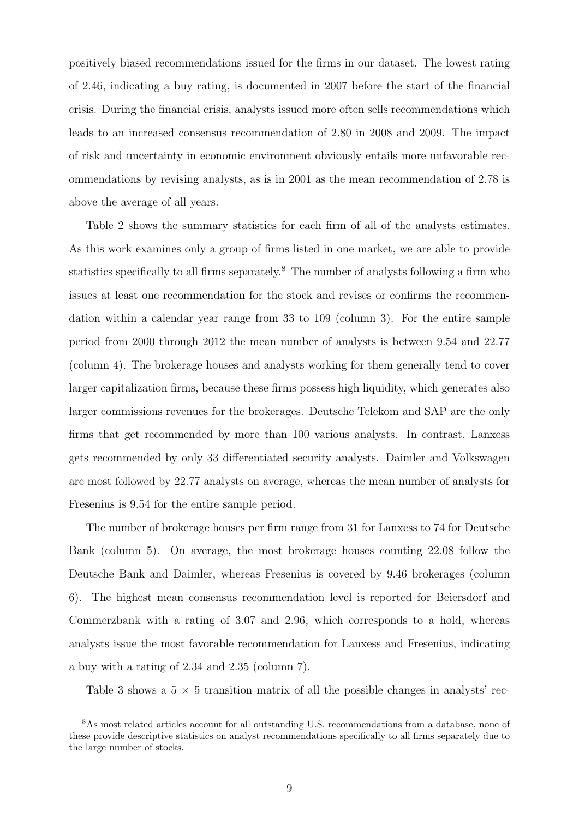positively biased recommendations issued for the firms in our dataset. The lowest rating of 2.46, indicating a buy rating, is documented in 2007 before the start of the financial crisis. During the financial crisis, analysts issued more often sells recommendations which leads to an increased consensus recommendation of 2.80 in 2008 and 2009. The impact of risk and uncertainty in economic environment obviously entails more unfavorable recommendations by revising analysts, as is in 2001 as the mean recommendation of 2.78 is above the average of all years.

Table 2 shows the summary statistics for each firm of all of the analysts estimates. As this work examines only a group of firms listed in one market, we are able to provide statistics specifically to all firms separately.<sup>8</sup> The number of analysts following a firm who issues at least one recommendation for the stock and revises or confirms the recommendation within a calendar year range from 33 to 109 (column 3). For the entire sample period from 2000 through 2012 the mean number of analysts is between 9.54 and 22.77 (column 4). The brokerage houses and analysts working for them generally tend to cover larger capitalization firms, because these firms possess high liquidity, which generates also larger commissions revenues for the brokerages. Deutsche Telekom and SAP are the only firms that get recommended by more than 100 various analysts. In contrast, Lanxess gets recommended by only 33 differentiated security analysts. Daimler and Volkswagen are most followed by 22.77 analysts on average, whereas the mean number of analysts for Fresenius is 9.54 for the entire sample period.

The number of brokerage houses per firm range from 31 for Lanxess to 74 for Deutsche Bank (column 5). On average, the most brokerage houses counting 22.08 follow the Deutsche Bank and Daimler, whereas Fresenius is covered by 9.46 brokerages (column 6). The highest mean consensus recommendation level is reported for Beiersdorf and Commerzbank with a rating of 3.07 and 2.96, which corresponds to a hold, whereas analysts issue the most favorable recommendation for Lanxess and Fresenius, indicating a buy with a rating of 2.34 and 2.35 (column 7).

Table 3 shows a  $5 \times 5$  transition matrix of all the possible changes in analysts' rec-

<sup>8</sup>As most related articles account for all outstanding U.S. recommendations from a database, none of these provide descriptive statistics on analyst recommendations specifically to all firms separately due to the large number of stocks.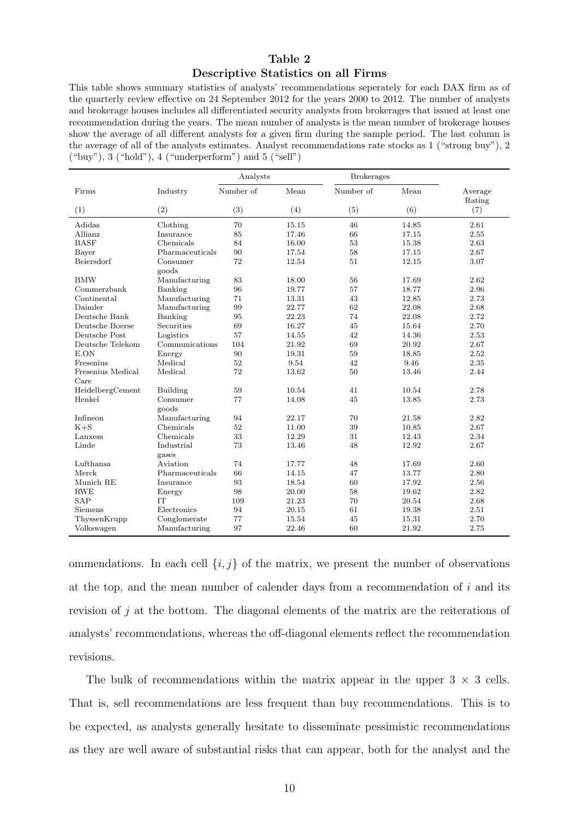## Table 2 Descriptive Statistics on all Firms

This table shows summary statistics of analysts' recommendations seperately for each DAX firm as of the quarterly review effective on 24 September 2012 for the years 2000 to 2012. The number of analysts and brokerage houses includes all differentiated security analysts from brokerages that issued at least one recommendation during the years. The mean number of analysts is the mean number of brokerage houses show the average of all different analysts for a given firm during the sample period. The last column is the average of all of the analysts estimates. Analyst recommendations rate stocks as 1 ("strong buy"), 2  $({}^\omega$ buy"), 3  $({}^\omega$ hold"), 4  $({}^\omega$ underperform") and 5  $({}^\omega$ sell")

|                   |                   | Analysts  |       | <b>Brokerages</b> |       |                   |
|-------------------|-------------------|-----------|-------|-------------------|-------|-------------------|
| Firms             | Industry          | Number of | Mean  | Number of         | Mean  | Average<br>Rating |
| (1)               | (2)               | (3)       | (4)   | (5)               | (6)   | (7)               |
| Adidas            | Clothing          | 70        | 15.15 | 46                | 14.85 | 2.61              |
| Allianz           | Insurance         | 85        | 17.46 | 66                | 17.15 | 2.55              |
| <b>BASF</b>       | Chemicals         | 84        | 16.00 | 53                | 15.38 | 2.63              |
| Bayer             | Pharmaceuticals   | 90        | 17.54 | 58                | 17.15 | 2.67              |
| Beiersdorf        | Consumer<br>goods | 72        | 12.54 | 51                | 12.15 | 3.07              |
| <b>BMW</b>        | Manufacturing     | 83        | 18.00 | 56                | 17.69 | 2.62              |
| Commerzbank       | Banking           | 96        | 19.77 | 57                | 18.77 | 2.96              |
| Continental       | Manufacturing     | 71        | 13.31 | 43                | 12.85 | 2.73              |
| Daimler           | Manufacturing     | 99        | 22.77 | 62                | 22.08 | 2.68              |
| Deutsche Bank     | Banking           | 95        | 22.23 | 74                | 22.08 | 2.72              |
| Deutsche Boerse   | <b>Securities</b> | 69        | 16.27 | 45                | 15.64 | 2.70              |
| Deutsche Post     | Logistics         | 57        | 14.55 | 42                | 14.36 | 2.53              |
| Deutsche Telekom  | Communications    | 104       | 21.92 | 69                | 20.92 | 2.67              |
| E.ON              | Energy            | 90        | 19.31 | 59                | 18.85 | 2.52              |
| Fresenius         | Medical           | 52        | 9.54  | 42                | 9.46  | 2.35              |
| Fresenius Medical | Medical           | 72        | 13.62 | 50                | 13.46 | 2.44              |
| Care              |                   |           |       |                   |       |                   |
| HeidelbergCement  | Building          | 59        | 10.54 | 41                | 10.54 | 2.78              |
| Henkel            | Consumer          | 77        | 14.08 | 45                | 13.85 | 2.73              |
|                   | goods             |           |       |                   |       |                   |
| Infineon          | Manufacturing     | 94        | 22.17 | 70                | 21.58 | 2.82              |
| $K + S$           | Chemicals         | 52        | 11.00 | 39                | 10.85 | 2.67              |
| Lanxess           | Chemicals         | 33        | 12.29 | 31                | 12.43 | 2.34              |
| Linde             | Industrial        | 73        | 13.46 | 48                | 12.92 | 2.67              |
|                   | gases             |           |       |                   |       |                   |
| Lufthansa         | Aviation          | 74        | 17.77 | 48                | 17.69 | 2.60              |
| Merck             | Pharmaceuticals   | 66        | 14.15 | 47                | 13.77 | 2.80              |
| Munich RE         | Insurance         | 93        | 18.54 | 60                | 17.92 | 2.56              |
| <b>RWE</b>        | Energy            | 98        | 20.00 | 58                | 19.62 | 2.82              |
| <b>SAP</b>        | <b>IT</b>         | 109       | 21.23 | 70                | 20.54 | 2.68              |
| Siemens           | Electronics       | 94        | 20.15 | 61                | 19.38 | 2.51              |
| ThyssenKrupp      | Conglomerate      | 77        | 15.54 | 45                | 15.31 | 2.70              |
| Volkswagen        | Manufacturing     | 97        | 22.46 | 60                | 21.92 | 2.75              |

ommendations. In each cell  $\{i, j\}$  of the matrix, we present the number of observations at the top, and the mean number of calender days from a recommendation of  $i$  and its revision of j at the bottom. The diagonal elements of the matrix are the reiterations of analysts' recommendations, whereas the off-diagonal elements reflect the recommendation revisions.

The bulk of recommendations within the matrix appear in the upper  $3 \times 3$  cells. That is, sell recommendations are less frequent than buy recommendations. This is to be expected, as analysts generally hesitate to disseminate pessimistic recommendations as they are well aware of substantial risks that can appear, both for the analyst and the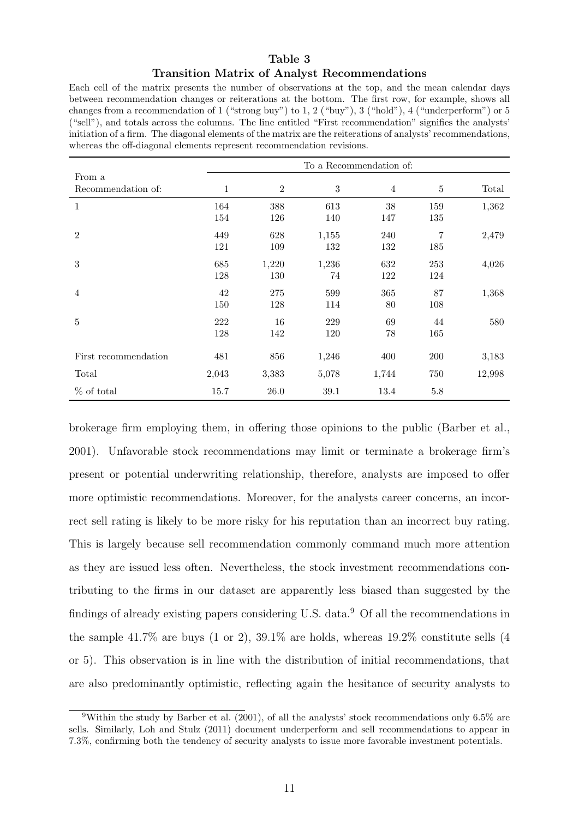# Table 3 Transition Matrix of Analyst Recommendations

Each cell of the matrix presents the number of observations at the top, and the mean calendar days between recommendation changes or reiterations at the bottom. The first row, for example, shows all changes from a recommendation of 1 ("strong buy") to 1, 2 ("buy"), 3 ("hold"), 4 ("underperform") or 5 ("sell"), and totals across the columns. The line entitled "First recommendation" signifies the analysts' initiation of a firm. The diagonal elements of the matrix are the reiterations of analysts' recommendations, whereas the off-diagonal elements represent recommendation revisions.

|                      |              |                |            | To a Recommendation of: |                |        |
|----------------------|--------------|----------------|------------|-------------------------|----------------|--------|
| From a               |              |                |            |                         |                |        |
| Recommendation of:   | $\mathbf{1}$ | $\overline{2}$ | $\sqrt{3}$ | $\overline{4}$          | $\bf 5$        | Total  |
| $\mathbf 1$          | 164          | 388            | 613        | 38                      | 159            | 1,362  |
|                      | 154          | 126            | 140        | 147                     | 135            |        |
| $\overline{2}$       | 449          | 628            | 1,155      | 240                     | $\overline{7}$ | 2,479  |
|                      | 121          | 109            | 132        | 132                     | 185            |        |
| 3                    | 685          | 1,220          | 1,236      | 632                     | 253            | 4,026  |
|                      | 128          | 130            | 74         | 122                     | 124            |        |
| $\overline{4}$       | 42           | 275            | 599        | 365                     | 87             | 1,368  |
|                      | 150          | 128            | 114        | 80                      | 108            |        |
| 5                    | 222          | 16             | 229        | 69                      | 44             | 580    |
|                      | 128          | 142            | 120        | 78                      | 165            |        |
| First recommendation | 481          | 856            | 1,246      | 400                     | 200            | 3,183  |
| Total                | 2,043        | 3,383          | 5,078      | 1,744                   | 750            | 12,998 |
| $%$ of total         | 15.7         | 26.0           | $39.1\,$   | 13.4                    | $5.8\,$        |        |

brokerage firm employing them, in offering those opinions to the public (Barber et al., 2001). Unfavorable stock recommendations may limit or terminate a brokerage firm's present or potential underwriting relationship, therefore, analysts are imposed to offer more optimistic recommendations. Moreover, for the analysts career concerns, an incorrect sell rating is likely to be more risky for his reputation than an incorrect buy rating. This is largely because sell recommendation commonly command much more attention as they are issued less often. Nevertheless, the stock investment recommendations contributing to the firms in our dataset are apparently less biased than suggested by the findings of already existing papers considering U.S. data.<sup>9</sup> Of all the recommendations in the sample 41.7% are buys  $(1 \text{ or } 2)$ ,  $39.1\%$  are holds, whereas  $19.2\%$  constitute sells  $(4)$ or 5). This observation is in line with the distribution of initial recommendations, that are also predominantly optimistic, reflecting again the hesitance of security analysts to

<sup>9</sup>Within the study by Barber et al. (2001), of all the analysts' stock recommendations only 6.5% are sells. Similarly, Loh and Stulz (2011) document underperform and sell recommendations to appear in 7.3%, confirming both the tendency of security analysts to issue more favorable investment potentials.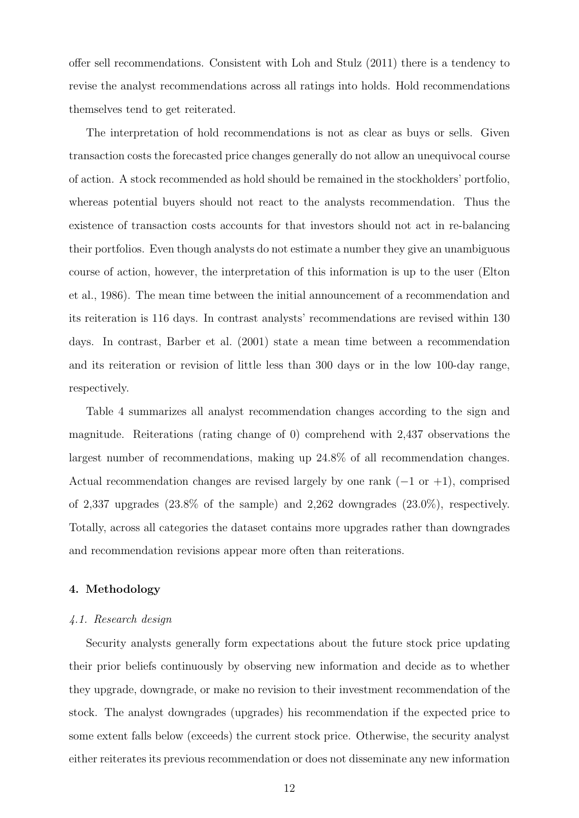offer sell recommendations. Consistent with Loh and Stulz (2011) there is a tendency to revise the analyst recommendations across all ratings into holds. Hold recommendations themselves tend to get reiterated.

The interpretation of hold recommendations is not as clear as buys or sells. Given transaction costs the forecasted price changes generally do not allow an unequivocal course of action. A stock recommended as hold should be remained in the stockholders' portfolio, whereas potential buyers should not react to the analysts recommendation. Thus the existence of transaction costs accounts for that investors should not act in re-balancing their portfolios. Even though analysts do not estimate a number they give an unambiguous course of action, however, the interpretation of this information is up to the user (Elton et al., 1986). The mean time between the initial announcement of a recommendation and its reiteration is 116 days. In contrast analysts' recommendations are revised within 130 days. In contrast, Barber et al. (2001) state a mean time between a recommendation and its reiteration or revision of little less than 300 days or in the low 100-day range, respectively.

Table 4 summarizes all analyst recommendation changes according to the sign and magnitude. Reiterations (rating change of 0) comprehend with 2,437 observations the largest number of recommendations, making up 24.8% of all recommendation changes. Actual recommendation changes are revised largely by one rank  $(-1 \text{ or } +1)$ , comprised of 2,337 upgrades (23.8% of the sample) and 2,262 downgrades (23.0%), respectively. Totally, across all categories the dataset contains more upgrades rather than downgrades and recommendation revisions appear more often than reiterations.

#### 4. Methodology

#### 4.1. Research design

Security analysts generally form expectations about the future stock price updating their prior beliefs continuously by observing new information and decide as to whether they upgrade, downgrade, or make no revision to their investment recommendation of the stock. The analyst downgrades (upgrades) his recommendation if the expected price to some extent falls below (exceeds) the current stock price. Otherwise, the security analyst either reiterates its previous recommendation or does not disseminate any new information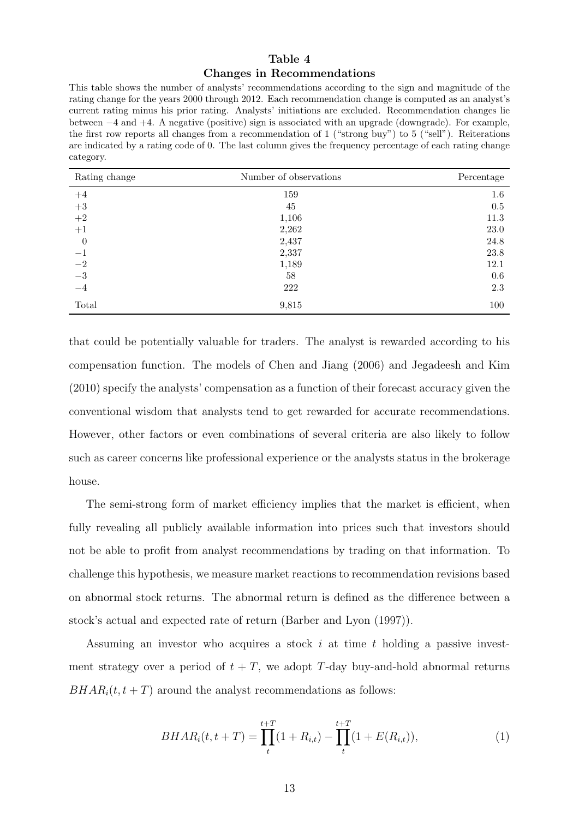## Table 4 Changes in Recommendations

This table shows the number of analysts' recommendations according to the sign and magnitude of the rating change for the years 2000 through 2012. Each recommendation change is computed as an analyst's current rating minus his prior rating. Analysts' initiations are excluded. Recommendation changes lie between −4 and +4. A negative (positive) sign is associated with an upgrade (downgrade). For example, the first row reports all changes from a recommendation of 1 ("strong buy") to 5 ("sell"). Reiterations are indicated by a rating code of 0. The last column gives the frequency percentage of each rating change category.

| Rating change    | Number of observations | Percentage |
|------------------|------------------------|------------|
| $+4$             | 159                    | $1.6\,$    |
| $\rm +3$         | 45                     | 0.5        |
| $\!+2$           | 1,106                  | 11.3       |
| $+1$             | 2,262                  | $23.0\,$   |
| $\boldsymbol{0}$ | 2,437                  | 24.8       |
| $-1$             | 2,337                  | 23.8       |
| $-2$<br>$-3$     | 1,189                  | 12.1       |
|                  | 58                     | 0.6        |
| $-4$             | 222                    | 2.3        |
| Total            | 9,815                  | 100        |

that could be potentially valuable for traders. The analyst is rewarded according to his compensation function. The models of Chen and Jiang (2006) and Jegadeesh and Kim (2010) specify the analysts' compensation as a function of their forecast accuracy given the conventional wisdom that analysts tend to get rewarded for accurate recommendations. However, other factors or even combinations of several criteria are also likely to follow such as career concerns like professional experience or the analysts status in the brokerage house.

The semi-strong form of market efficiency implies that the market is efficient, when fully revealing all publicly available information into prices such that investors should not be able to profit from analyst recommendations by trading on that information. To challenge this hypothesis, we measure market reactions to recommendation revisions based on abnormal stock returns. The abnormal return is defined as the difference between a stock's actual and expected rate of return (Barber and Lyon (1997)).

Assuming an investor who acquires a stock  $i$  at time  $t$  holding a passive investment strategy over a period of  $t + T$ , we adopt T-day buy-and-hold abnormal returns  $BHAR<sub>i</sub>(t, t + T)$  around the analyst recommendations as follows:

$$
BHAR_i(t, t+T) = \prod_t^{t+T} (1 + R_{i,t}) - \prod_t^{t+T} (1 + E(R_{i,t})),
$$
\n(1)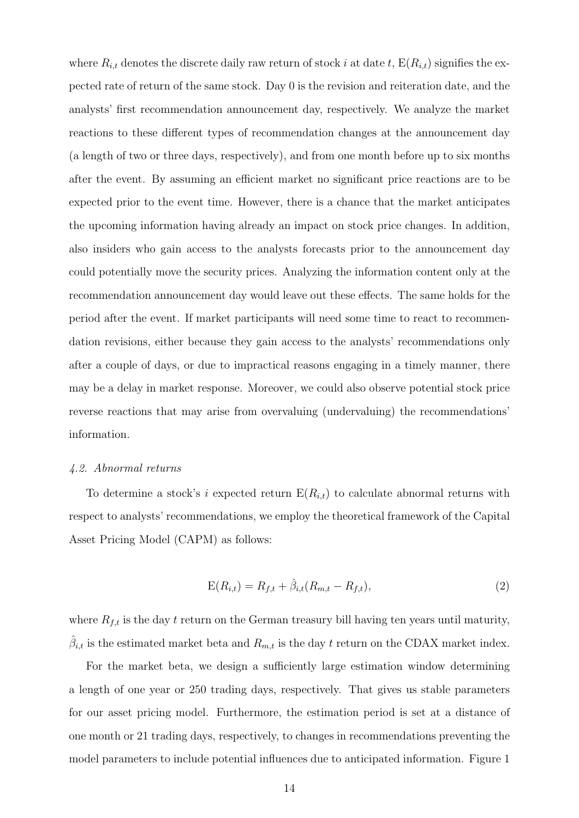where  $R_{i,t}$  denotes the discrete daily raw return of stock i at date t,  $E(R_{i,t})$  signifies the expected rate of return of the same stock. Day 0 is the revision and reiteration date, and the analysts' first recommendation announcement day, respectively. We analyze the market reactions to these different types of recommendation changes at the announcement day (a length of two or three days, respectively), and from one month before up to six months after the event. By assuming an efficient market no significant price reactions are to be expected prior to the event time. However, there is a chance that the market anticipates the upcoming information having already an impact on stock price changes. In addition, also insiders who gain access to the analysts forecasts prior to the announcement day could potentially move the security prices. Analyzing the information content only at the recommendation announcement day would leave out these effects. The same holds for the period after the event. If market participants will need some time to react to recommendation revisions, either because they gain access to the analysts' recommendations only after a couple of days, or due to impractical reasons engaging in a timely manner, there may be a delay in market response. Moreover, we could also observe potential stock price reverse reactions that may arise from overvaluing (undervaluing) the recommendations' information.

#### 4.2. Abnormal returns

To determine a stock's i expected return  $E(R_{i,t})$  to calculate abnormal returns with respect to analysts' recommendations, we employ the theoretical framework of the Capital Asset Pricing Model (CAPM) as follows:

$$
E(R_{i,t}) = R_{f,t} + \hat{\beta}_{i,t}(R_{m,t} - R_{f,t}),
$$
\n(2)

where  $R_{f,t}$  is the day t return on the German treasury bill having ten years until maturity,  $\hat{\beta}_{i,t}$  is the estimated market beta and  $R_{m,t}$  is the day t return on the CDAX market index.

For the market beta, we design a sufficiently large estimation window determining a length of one year or 250 trading days, respectively. That gives us stable parameters for our asset pricing model. Furthermore, the estimation period is set at a distance of one month or 21 trading days, respectively, to changes in recommendations preventing the model parameters to include potential influences due to anticipated information. Figure 1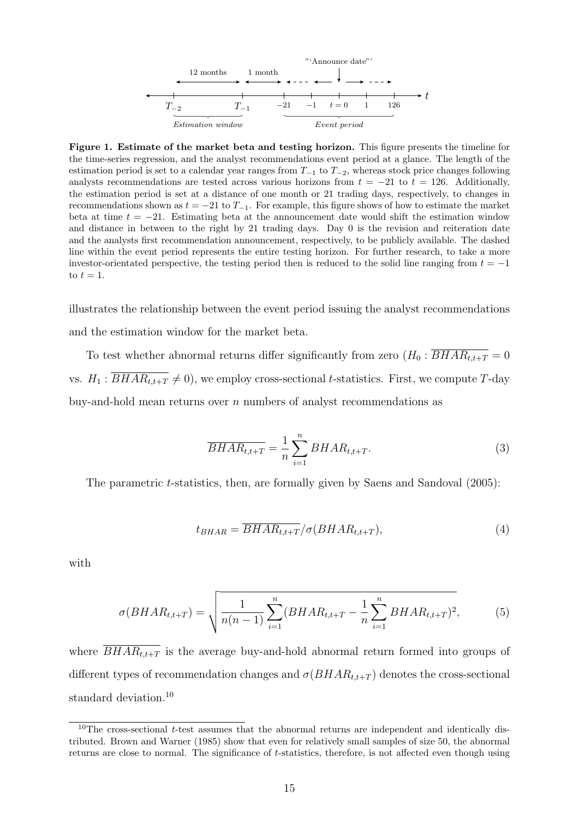

Figure 1. Estimate of the market beta and testing horizon. This figure presents the timeline for the time-series regression, and the analyst recommendations event period at a glance. The length of the estimation period is set to a calendar year ranges from  $T_{-1}$  to  $T_{-2}$ , whereas stock price changes following analysts recommendations are tested across various horizons from  $t = -21$  to  $t = 126$ . Additionally, the estimation period is set at a distance of one month or 21 trading days, respectively, to changes in recommendations shown as  $t = -21$  to  $T_{-1}$ . For example, this figure shows of how to estimate the market beta at time  $t = -21$ . Estimating beta at the announcement date would shift the estimation window and distance in between to the right by 21 trading days. Day 0 is the revision and reiteration date and the analysts first recommendation announcement, respectively, to be publicly available. The dashed line within the event period represents the entire testing horizon. For further research, to take a more investor-orientated perspective, the testing period then is reduced to the solid line ranging from  $t = -1$ to  $t = 1$ .

illustrates the relationship between the event period issuing the analyst recommendations and the estimation window for the market beta.

To test whether abnormal returns differ significantly from zero  $(H_0 : \overline{BHAR_{t,t+T}} = 0$ vs.  $H_1 : \overline{BHAR_{t,t+T}} \neq 0$ , we employ cross-sectional t-statistics. First, we compute T-day buy-and-hold mean returns over  $n$  numbers of analyst recommendations as

$$
\overline{BHAR_{t,t+T}} = \frac{1}{n} \sum_{i=1}^{n} BHAR_{t,t+T}.
$$
\n(3)

The parametric *t*-statistics, then, are formally given by Saens and Sandoval (2005):

$$
t_{BHAR} = \overline{BHAR_{t,t+T}}/\sigma(BHAR_{t,t+T}),\tag{4}
$$

with

$$
\sigma(BHAR_{t,t+T}) = \sqrt{\frac{1}{n(n-1)}\sum_{i=1}^{n} (BHAR_{t,t+T} - \frac{1}{n}\sum_{i=1}^{n} BHAR_{t,t+T})^{2}},
$$
(5)

where  $\overline{BHAR_{t,t+T}}$  is the average buy-and-hold abnormal return formed into groups of different types of recommendation changes and  $\sigma(BHAR_{t,t+T})$  denotes the cross-sectional standard deviation.<sup>10</sup>

 $10$ The cross-sectional t-test assumes that the abnormal returns are independent and identically distributed. Brown and Warner (1985) show that even for relatively small samples of size 50, the abnormal returns are close to normal. The significance of t-statistics, therefore, is not affected even though using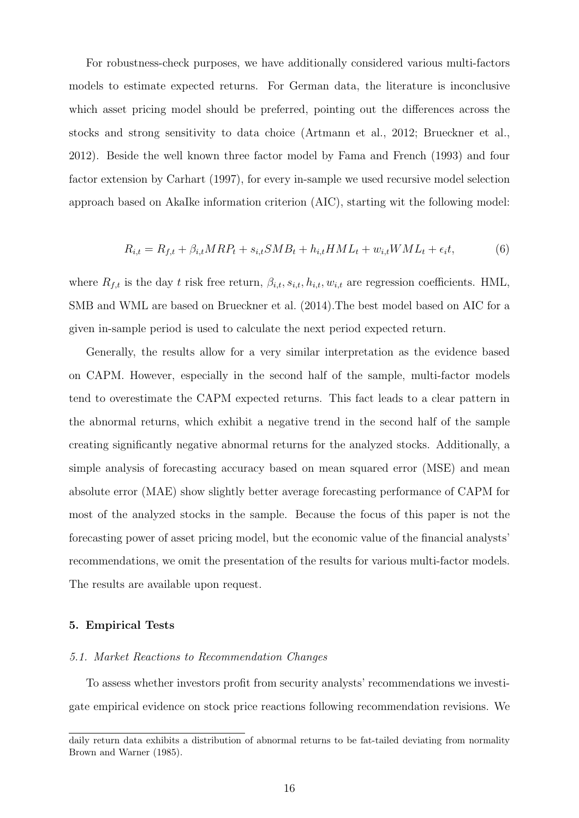For robustness-check purposes, we have additionally considered various multi-factors models to estimate expected returns. For German data, the literature is inconclusive which asset pricing model should be preferred, pointing out the differences across the stocks and strong sensitivity to data choice (Artmann et al., 2012; Brueckner et al., 2012). Beside the well known three factor model by Fama and French (1993) and four factor extension by Carhart (1997), for every in-sample we used recursive model selection approach based on AkaIke information criterion (AIC), starting wit the following model:

$$
R_{i,t} = R_{f,t} + \beta_{i,t} MRP_t + s_{i,t} SMB_t + h_{i,t} HML_t + w_{i,t} WML_t + \epsilon_i t,\tag{6}
$$

where  $R_{f,t}$  is the day t risk free return,  $\beta_{i,t}$ ,  $s_{i,t}$ ,  $h_{i,t}$ ,  $w_{i,t}$  are regression coefficients. HML, SMB and WML are based on Brueckner et al. (2014).The best model based on AIC for a given in-sample period is used to calculate the next period expected return.

Generally, the results allow for a very similar interpretation as the evidence based on CAPM. However, especially in the second half of the sample, multi-factor models tend to overestimate the CAPM expected returns. This fact leads to a clear pattern in the abnormal returns, which exhibit a negative trend in the second half of the sample creating significantly negative abnormal returns for the analyzed stocks. Additionally, a simple analysis of forecasting accuracy based on mean squared error (MSE) and mean absolute error (MAE) show slightly better average forecasting performance of CAPM for most of the analyzed stocks in the sample. Because the focus of this paper is not the forecasting power of asset pricing model, but the economic value of the financial analysts' recommendations, we omit the presentation of the results for various multi-factor models. The results are available upon request.

#### 5. Empirical Tests

#### 5.1. Market Reactions to Recommendation Changes

To assess whether investors profit from security analysts' recommendations we investigate empirical evidence on stock price reactions following recommendation revisions. We

daily return data exhibits a distribution of abnormal returns to be fat-tailed deviating from normality Brown and Warner (1985).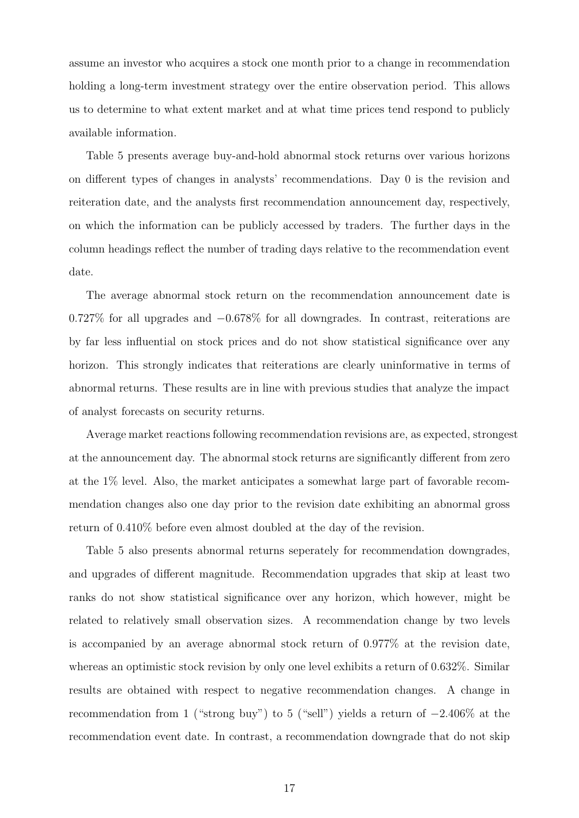assume an investor who acquires a stock one month prior to a change in recommendation holding a long-term investment strategy over the entire observation period. This allows us to determine to what extent market and at what time prices tend respond to publicly available information.

Table 5 presents average buy-and-hold abnormal stock returns over various horizons on different types of changes in analysts' recommendations. Day 0 is the revision and reiteration date, and the analysts first recommendation announcement day, respectively, on which the information can be publicly accessed by traders. The further days in the column headings reflect the number of trading days relative to the recommendation event date.

The average abnormal stock return on the recommendation announcement date is 0.727% for all upgrades and −0.678% for all downgrades. In contrast, reiterations are by far less influential on stock prices and do not show statistical significance over any horizon. This strongly indicates that reiterations are clearly uninformative in terms of abnormal returns. These results are in line with previous studies that analyze the impact of analyst forecasts on security returns.

Average market reactions following recommendation revisions are, as expected, strongest at the announcement day. The abnormal stock returns are significantly different from zero at the 1% level. Also, the market anticipates a somewhat large part of favorable recommendation changes also one day prior to the revision date exhibiting an abnormal gross return of 0.410% before even almost doubled at the day of the revision.

Table 5 also presents abnormal returns seperately for recommendation downgrades, and upgrades of different magnitude. Recommendation upgrades that skip at least two ranks do not show statistical significance over any horizon, which however, might be related to relatively small observation sizes. A recommendation change by two levels is accompanied by an average abnormal stock return of 0.977% at the revision date, whereas an optimistic stock revision by only one level exhibits a return of 0.632%. Similar results are obtained with respect to negative recommendation changes. A change in recommendation from 1 ("strong buy") to 5 ("sell") yields a return of −2.406% at the recommendation event date. In contrast, a recommendation downgrade that do not skip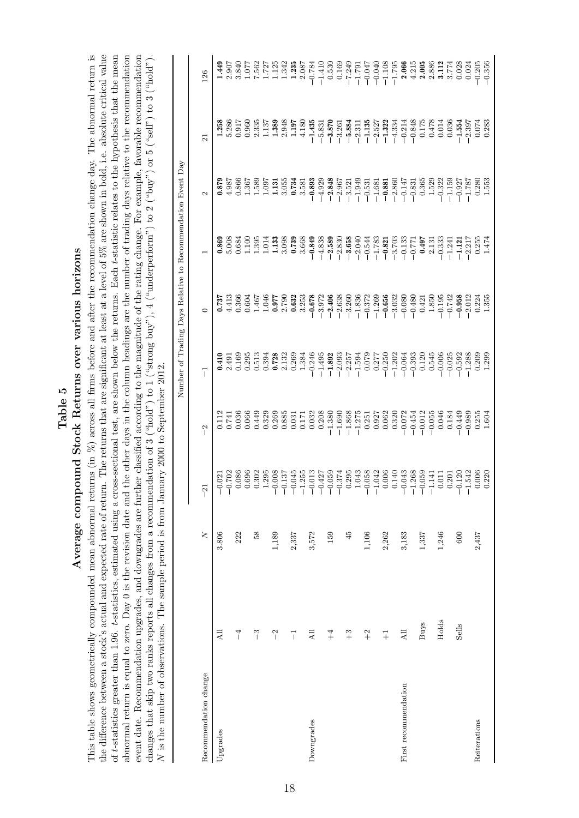Table 5<br>Average compound Stock Returns over various horizons Average compound Stock Returns over various horizons

This table shows geometrically compounded mean abnormal returns (in  $\%$ ) across all firms before and after the recommendation change day. The abnormal return is the difference between a stock's actual and expected rate of return. The returns that are significant at least at a level of  $5\%$  are shown in bold, i.e. absolute critical value of *t*-statistics greater than 1.96. t-statistics, estimated using a cross-sectional test, are shown below the returns. Each t-statistic relates to the hypothesis that the mean abnormal return is equal to zero. Day 0 is the revision date and the other days in the column headings are the number of trading days relative to the recommendation event date. Recommendation upgrades, and downgrades are further classified according to the magnitude of the rating change. For example, favorable recommendation This table shows geometrically compounded mean abnormal returns (in %) across all firms before and after the recommendation change day. The abnormal return is changes that skip two ranks reports all changes from a recommendation of 3 ("hold") to 1 ("strong buy"), 4 ("underperform") to 2 ("buy") or 5 ("sell") to 3 ("hold"). the difference between a stock's actual and expected rate of return. The returns that are significant at least at a level of 5% are shown in bold, i.e. absolute critical value of t-statistics greater than 1.96. t-statistics, estimated using a cross-sectional test, are shown below the returns. Each t-statistic relates to the hypothesis that the mean abnormal return is equal to zero. Day 0 is the revision date and the other days in the column headings are the number of trading days relative to the recommendation event date. Recommendation upgrades, and downgrades are further classified according to the magnitude of the rating change. For example, favorable recommendation changes that skip two ranks reports all changes from a recommendation of 3 ("hold") to 1 ("strong buy"), 4 ("underperform") to 2 ("buy") or 5 ("sell") to 3 ("hold"). N is the number of observations. The sample period is from January 2000 to September 2012. is the number of observations. The sample period is from January 2000 to September 2012.

|                       |                 |                         |               |                            |                                                                                                                                                                                                                                                                                                                                                  | Number of Trading Days Relative to Recommendation Event Day                                                                                                                                                                                              |                                                                                                                                                                                                                                                                                                                                    |                                                                                                                                                                                                                                                                                                                                               |                                                                                                                                                                                                                                                                                                                                    |                                                                                                                                                                                                                                                                                                                                    |
|-----------------------|-----------------|-------------------------|---------------|----------------------------|--------------------------------------------------------------------------------------------------------------------------------------------------------------------------------------------------------------------------------------------------------------------------------------------------------------------------------------------------|----------------------------------------------------------------------------------------------------------------------------------------------------------------------------------------------------------------------------------------------------------|------------------------------------------------------------------------------------------------------------------------------------------------------------------------------------------------------------------------------------------------------------------------------------------------------------------------------------|-----------------------------------------------------------------------------------------------------------------------------------------------------------------------------------------------------------------------------------------------------------------------------------------------------------------------------------------------|------------------------------------------------------------------------------------------------------------------------------------------------------------------------------------------------------------------------------------------------------------------------------------------------------------------------------------|------------------------------------------------------------------------------------------------------------------------------------------------------------------------------------------------------------------------------------------------------------------------------------------------------------------------------------|
| Recommendation change |                 | $\overline{\mathsf{X}}$ | $\frac{1}{2}$ | $\tilde{ }$                | $\vec{1}$                                                                                                                                                                                                                                                                                                                                        | 0                                                                                                                                                                                                                                                        |                                                                                                                                                                                                                                                                                                                                    | 2                                                                                                                                                                                                                                                                                                                                             | $\overline{21}$                                                                                                                                                                                                                                                                                                                    | 126                                                                                                                                                                                                                                                                                                                                |
| Upgrades              | Дl              | 3.806                   |               |                            |                                                                                                                                                                                                                                                                                                                                                  |                                                                                                                                                                                                                                                          |                                                                                                                                                                                                                                                                                                                                    |                                                                                                                                                                                                                                                                                                                                               |                                                                                                                                                                                                                                                                                                                                    | 1.449                                                                                                                                                                                                                                                                                                                              |
|                       |                 |                         |               |                            | $0.410$<br>2.491                                                                                                                                                                                                                                                                                                                                 |                                                                                                                                                                                                                                                          |                                                                                                                                                                                                                                                                                                                                    |                                                                                                                                                                                                                                                                                                                                               |                                                                                                                                                                                                                                                                                                                                    |                                                                                                                                                                                                                                                                                                                                    |
|                       | $\overline{1}$  | 222                     |               |                            |                                                                                                                                                                                                                                                                                                                                                  |                                                                                                                                                                                                                                                          |                                                                                                                                                                                                                                                                                                                                    |                                                                                                                                                                                                                                                                                                                                               |                                                                                                                                                                                                                                                                                                                                    |                                                                                                                                                                                                                                                                                                                                    |
|                       |                 |                         |               |                            |                                                                                                                                                                                                                                                                                                                                                  |                                                                                                                                                                                                                                                          |                                                                                                                                                                                                                                                                                                                                    |                                                                                                                                                                                                                                                                                                                                               |                                                                                                                                                                                                                                                                                                                                    |                                                                                                                                                                                                                                                                                                                                    |
|                       | $\tilde{c}$     | $\frac{8}{3}$           |               |                            |                                                                                                                                                                                                                                                                                                                                                  |                                                                                                                                                                                                                                                          |                                                                                                                                                                                                                                                                                                                                    |                                                                                                                                                                                                                                                                                                                                               |                                                                                                                                                                                                                                                                                                                                    |                                                                                                                                                                                                                                                                                                                                    |
|                       |                 |                         |               |                            |                                                                                                                                                                                                                                                                                                                                                  |                                                                                                                                                                                                                                                          |                                                                                                                                                                                                                                                                                                                                    |                                                                                                                                                                                                                                                                                                                                               |                                                                                                                                                                                                                                                                                                                                    |                                                                                                                                                                                                                                                                                                                                    |
|                       | $\overline{a}$  | 1,189                   |               |                            | $\begin{array}{c} 0.169 \\ 0.295 \\ 0.513 \\ 0.394 \\ 0.332 \\ 0.132 \\ 0.269 \\ 1.384 \\ 1.384 \\ \end{array}$                                                                                                                                                                                                                                  | 0.737<br>4.41366<br>4.66366<br>5.790<br>5.790<br>5.790<br>5.627<br>5.632<br>5.092                                                                                                                                                                        | $\begin{array}{l} \textbf{0.869} \\ 5.008 \\ 0.634 \\ 0.100 \\ 1.133 \\ 1.133 \\ 0.034 \\ 1.133 \\ 0.039 \\ \textbf{0.739} \end{array}$                                                                                                                                                                                            | $\begin{array}{r} 0.879 \\ 4.987 \\ 0.366 \\ 1.367 \\ 1.589 \\ 1.1997 \\ 1.131 \\ 1.097 \\ 1.131 \\ 0.734 \end{array}$                                                                                                                                                                                                                        | $\begin{array}{l} 1.258 \\ 1.286 \\ 5.286 \\ 0.91 \\ 0.960 \\ 0.335 \\ 1.389 \\ 2.948 \\ 1.197 \\ 1.197 \\ \end{array}$                                                                                                                                                                                                            | $\begin{array}{l} 2.907 \\ 3.840 \\ 7.562 \\ 7.727 \\ 1.123 \\ 1.342 \\ 1.343 \\ 2.087 \end{array}$                                                                                                                                                                                                                                |
|                       |                 |                         |               |                            |                                                                                                                                                                                                                                                                                                                                                  |                                                                                                                                                                                                                                                          |                                                                                                                                                                                                                                                                                                                                    |                                                                                                                                                                                                                                                                                                                                               |                                                                                                                                                                                                                                                                                                                                    |                                                                                                                                                                                                                                                                                                                                    |
|                       | ī               | 2,337                   |               |                            |                                                                                                                                                                                                                                                                                                                                                  |                                                                                                                                                                                                                                                          |                                                                                                                                                                                                                                                                                                                                    |                                                                                                                                                                                                                                                                                                                                               |                                                                                                                                                                                                                                                                                                                                    |                                                                                                                                                                                                                                                                                                                                    |
|                       |                 |                         |               |                            |                                                                                                                                                                                                                                                                                                                                                  | 3.253                                                                                                                                                                                                                                                    | 3.668                                                                                                                                                                                                                                                                                                                              | 3.581                                                                                                                                                                                                                                                                                                                                         | 4.180                                                                                                                                                                                                                                                                                                                              |                                                                                                                                                                                                                                                                                                                                    |
| Downgrades            | $\overline{AB}$ | 3,572                   |               |                            |                                                                                                                                                                                                                                                                                                                                                  | $-0.678$                                                                                                                                                                                                                                                 | $-0.849$                                                                                                                                                                                                                                                                                                                           | $-0.893$                                                                                                                                                                                                                                                                                                                                      | $-1.435$                                                                                                                                                                                                                                                                                                                           |                                                                                                                                                                                                                                                                                                                                    |
|                       |                 |                         |               |                            |                                                                                                                                                                                                                                                                                                                                                  |                                                                                                                                                                                                                                                          |                                                                                                                                                                                                                                                                                                                                    |                                                                                                                                                                                                                                                                                                                                               |                                                                                                                                                                                                                                                                                                                                    |                                                                                                                                                                                                                                                                                                                                    |
|                       | $+4$            | 159                     |               |                            |                                                                                                                                                                                                                                                                                                                                                  |                                                                                                                                                                                                                                                          |                                                                                                                                                                                                                                                                                                                                    |                                                                                                                                                                                                                                                                                                                                               |                                                                                                                                                                                                                                                                                                                                    |                                                                                                                                                                                                                                                                                                                                    |
|                       |                 |                         |               |                            |                                                                                                                                                                                                                                                                                                                                                  |                                                                                                                                                                                                                                                          |                                                                                                                                                                                                                                                                                                                                    |                                                                                                                                                                                                                                                                                                                                               |                                                                                                                                                                                                                                                                                                                                    |                                                                                                                                                                                                                                                                                                                                    |
|                       | $\widetilde{ }$ | 45                      |               |                            |                                                                                                                                                                                                                                                                                                                                                  |                                                                                                                                                                                                                                                          |                                                                                                                                                                                                                                                                                                                                    |                                                                                                                                                                                                                                                                                                                                               |                                                                                                                                                                                                                                                                                                                                    |                                                                                                                                                                                                                                                                                                                                    |
|                       |                 |                         |               |                            |                                                                                                                                                                                                                                                                                                                                                  |                                                                                                                                                                                                                                                          |                                                                                                                                                                                                                                                                                                                                    |                                                                                                                                                                                                                                                                                                                                               |                                                                                                                                                                                                                                                                                                                                    |                                                                                                                                                                                                                                                                                                                                    |
|                       | $+2$            | 1,106                   |               |                            |                                                                                                                                                                                                                                                                                                                                                  |                                                                                                                                                                                                                                                          |                                                                                                                                                                                                                                                                                                                                    |                                                                                                                                                                                                                                                                                                                                               |                                                                                                                                                                                                                                                                                                                                    |                                                                                                                                                                                                                                                                                                                                    |
|                       |                 |                         |               |                            |                                                                                                                                                                                                                                                                                                                                                  |                                                                                                                                                                                                                                                          |                                                                                                                                                                                                                                                                                                                                    |                                                                                                                                                                                                                                                                                                                                               |                                                                                                                                                                                                                                                                                                                                    |                                                                                                                                                                                                                                                                                                                                    |
|                       | $\overline{+}$  | 2,262                   |               |                            | $\begin{array}{c} 466 \\ -1495 \\ -1493 \\ -1593 \\ -1594 \\ -1594 \\ -1594 \\ -1594 \\ -1594 \\ -1594 \\ -1594 \\ -1594 \\ -1593 \\ -1593 \\ -1003 \\ -1003 \\ -1003 \\ -1003 \\ -1003 \\ -1003 \\ -1003 \\ -1003 \\ -1003 \\ -1003 \\ -1003 \\ -1003 \\ -1003 \\ -1003 \\ -1003 \\ -1003 \\ -1003 \\ -1003 \\ -1003 \\ -1003 \\ -1003 \\ -100$ | $\begin{array}{l} 2296888888888888887\\ 24032888888888887\\ 2540323888888888887\\ 25403238888888888\\ 254032388888888\\ 254032888888\\ 2540388888\\ 25403888\\ 2540388\\ 2540388\\ 2540388\\ 254038\\ 254038\\ 254038\\ 254038\\ 254038\\ 254038\\ 2540$ | $\begin{array}{r} -4.838 \\ -2.589 \\ -2.830 \\ -3.658 \\ -3.654 \\ -3.654 \\ -1.783 \\ -1.783 \\ -1.733 \\ -1.733 \\ -1.703 \\ -1.333 \\ -1.71 \\ -1.733 \\ -1.71 \\ -1.771 \\ -1.771 \\ -1.771 \\ -1.771 \\ -1.771 \\ -1.771 \\ -1.771 \\ -1.771 \\ -1.771 \\ -1.771 \\ -1.771 \\ -1.771 \\ -1.771 \\ -1.771 \\ -1.771 \\ -1.77$ | $\begin{array}{r} -4.929 \\ -2.848 \\ -2.957 \\ -3.521 \\ -3.521 \\ -1.681 \\ -1.681 \\ -1.681 \\ -1.681 \\ -1.60 \\ -1.61 \\ -1.61 \\ -1.61 \\ -1.61 \\ -1.61 \\ -1.61 \\ -1.61 \\ -1.61 \\ -1.61 \\ -1.61 \\ -1.61 \\ -1.61 \\ -1.61 \\ -1.61 \\ -1.61 \\ -1.61 \\ -1.61 \\ -1.61 \\ -1.61 \\ -1.61 \\ -1.61 \\ -1.61 \\ -1.61 \\ -1.61 \\$ | $\begin{array}{r} -5.831 \\ -3.261 \\ -3.374 \\ -5.884 \\ -6.311 \\ -1.135 \\ -1.132 \\ -1.321 \\ -1.333 \\ -1.334 \\ -1.334 \\ -1.334 \\ -1.334 \\ -1.334 \\ -1.334 \\ -1.334 \\ -1.334 \\ -1.334 \\ -1.334 \\ -1.334 \\ -1.334 \\ -1.334 \\ -1.334 \\ -1.334 \\ -1.334 \\ -1.334 \\ -1.334 \\ -1.334 \\ -1.334 \\ -1.334 \\ -1.$ | $\begin{array}{r} -0.784 \\ -1.410 \\ -1.530 \\ -0.530 \\ -0.163 \\ -0.163 \\ -0.163 \\ -0.163 \\ -0.163 \\ -0.047 \\ -0.040 \\ -0.040 \\ -0.040 \\ -0.040 \\ -0.040 \\ -0.040 \\ -0.040 \\ -0.040 \\ -0.040 \\ -0.040 \\ -0.040 \\ -0.040 \\ -0.040 \\ -0.040 \\ -0.040 \\ -0.040 \\ -0.040 \\ -0.040 \\ -0.040 \\ -0.040 \\ -0.$ |
|                       |                 |                         |               |                            |                                                                                                                                                                                                                                                                                                                                                  |                                                                                                                                                                                                                                                          |                                                                                                                                                                                                                                                                                                                                    |                                                                                                                                                                                                                                                                                                                                               |                                                                                                                                                                                                                                                                                                                                    |                                                                                                                                                                                                                                                                                                                                    |
| First recommendation  | All             | 3,183                   |               |                            |                                                                                                                                                                                                                                                                                                                                                  |                                                                                                                                                                                                                                                          |                                                                                                                                                                                                                                                                                                                                    |                                                                                                                                                                                                                                                                                                                                               |                                                                                                                                                                                                                                                                                                                                    |                                                                                                                                                                                                                                                                                                                                    |
|                       |                 |                         |               |                            |                                                                                                                                                                                                                                                                                                                                                  |                                                                                                                                                                                                                                                          |                                                                                                                                                                                                                                                                                                                                    |                                                                                                                                                                                                                                                                                                                                               |                                                                                                                                                                                                                                                                                                                                    | 4.215                                                                                                                                                                                                                                                                                                                              |
|                       | Buys            | 1,337                   |               |                            |                                                                                                                                                                                                                                                                                                                                                  |                                                                                                                                                                                                                                                          |                                                                                                                                                                                                                                                                                                                                    |                                                                                                                                                                                                                                                                                                                                               |                                                                                                                                                                                                                                                                                                                                    |                                                                                                                                                                                                                                                                                                                                    |
|                       |                 |                         |               |                            | $0.120$<br>$0.545$                                                                                                                                                                                                                                                                                                                               |                                                                                                                                                                                                                                                          |                                                                                                                                                                                                                                                                                                                                    |                                                                                                                                                                                                                                                                                                                                               |                                                                                                                                                                                                                                                                                                                                    |                                                                                                                                                                                                                                                                                                                                    |
|                       | Holds           | 1,246                   |               |                            | $-0.006$                                                                                                                                                                                                                                                                                                                                         | $-0.195$                                                                                                                                                                                                                                                 |                                                                                                                                                                                                                                                                                                                                    | $\begin{array}{c} 0.365 \\ 1.529 \\ -0.322 \end{array}$                                                                                                                                                                                                                                                                                       | $\begin{array}{c} 0.175 \\ 0.478 \\ 0.014 \end{array}$                                                                                                                                                                                                                                                                             |                                                                                                                                                                                                                                                                                                                                    |
|                       |                 |                         |               |                            |                                                                                                                                                                                                                                                                                                                                                  | $-0.742$                                                                                                                                                                                                                                                 | $\begin{array}{c} \textbf{0.497} \\ 2.131 \\ -0.333 \\ -1.241 \end{array}$                                                                                                                                                                                                                                                         | $-1.159$<br>$-0.927$                                                                                                                                                                                                                                                                                                                          | 0.036                                                                                                                                                                                                                                                                                                                              | $2.005$<br>$2.886$<br>$3.112$<br>$3.774$                                                                                                                                                                                                                                                                                           |
|                       | Sells           | 600                     |               | $-0.449$                   | $-0.025$<br>$-0.592$<br>$-1.288$                                                                                                                                                                                                                                                                                                                 | $-0.958$                                                                                                                                                                                                                                                 | $\begin{array}{r} -1.121 \\ -2.217 \\ 0.255 \\ 1.474 \end{array}$                                                                                                                                                                                                                                                                  |                                                                                                                                                                                                                                                                                                                                               | $-1.554$                                                                                                                                                                                                                                                                                                                           | 0.028                                                                                                                                                                                                                                                                                                                              |
|                       |                 |                         |               |                            |                                                                                                                                                                                                                                                                                                                                                  |                                                                                                                                                                                                                                                          |                                                                                                                                                                                                                                                                                                                                    | $-1.787$                                                                                                                                                                                                                                                                                                                                      | $-2.397$                                                                                                                                                                                                                                                                                                                           | 0.024                                                                                                                                                                                                                                                                                                                              |
| Reiterations          |                 | 2,437                   |               | $-0.989$<br>0.255<br>1.604 | $0.209$<br>1.299                                                                                                                                                                                                                                                                                                                                 | $\frac{-2.012}{0.224}$<br>1.355                                                                                                                                                                                                                          |                                                                                                                                                                                                                                                                                                                                    | $0.280$<br>$1.553$                                                                                                                                                                                                                                                                                                                            | $0.074$<br>$0.283$                                                                                                                                                                                                                                                                                                                 | $-0.205$<br>$-0.356$                                                                                                                                                                                                                                                                                                               |
|                       |                 |                         |               |                            |                                                                                                                                                                                                                                                                                                                                                  |                                                                                                                                                                                                                                                          |                                                                                                                                                                                                                                                                                                                                    |                                                                                                                                                                                                                                                                                                                                               |                                                                                                                                                                                                                                                                                                                                    |                                                                                                                                                                                                                                                                                                                                    |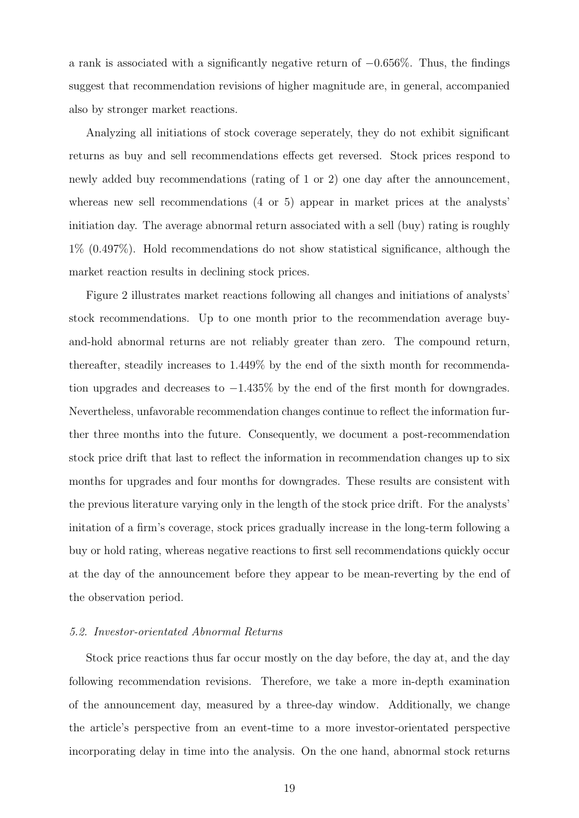a rank is associated with a significantly negative return of  $-0.656\%$ . Thus, the findings suggest that recommendation revisions of higher magnitude are, in general, accompanied also by stronger market reactions.

Analyzing all initiations of stock coverage seperately, they do not exhibit significant returns as buy and sell recommendations effects get reversed. Stock prices respond to newly added buy recommendations (rating of 1 or 2) one day after the announcement, whereas new sell recommendations  $(4 \text{ or } 5)$  appear in market prices at the analysts' initiation day. The average abnormal return associated with a sell (buy) rating is roughly 1% (0.497%). Hold recommendations do not show statistical significance, although the market reaction results in declining stock prices.

Figure 2 illustrates market reactions following all changes and initiations of analysts' stock recommendations. Up to one month prior to the recommendation average buyand-hold abnormal returns are not reliably greater than zero. The compound return, thereafter, steadily increases to 1.449% by the end of the sixth month for recommendation upgrades and decreases to −1.435% by the end of the first month for downgrades. Nevertheless, unfavorable recommendation changes continue to reflect the information further three months into the future. Consequently, we document a post-recommendation stock price drift that last to reflect the information in recommendation changes up to six months for upgrades and four months for downgrades. These results are consistent with the previous literature varying only in the length of the stock price drift. For the analysts' initation of a firm's coverage, stock prices gradually increase in the long-term following a buy or hold rating, whereas negative reactions to first sell recommendations quickly occur at the day of the announcement before they appear to be mean-reverting by the end of the observation period.

#### 5.2. Investor-orientated Abnormal Returns

Stock price reactions thus far occur mostly on the day before, the day at, and the day following recommendation revisions. Therefore, we take a more in-depth examination of the announcement day, measured by a three-day window. Additionally, we change the article's perspective from an event-time to a more investor-orientated perspective incorporating delay in time into the analysis. On the one hand, abnormal stock returns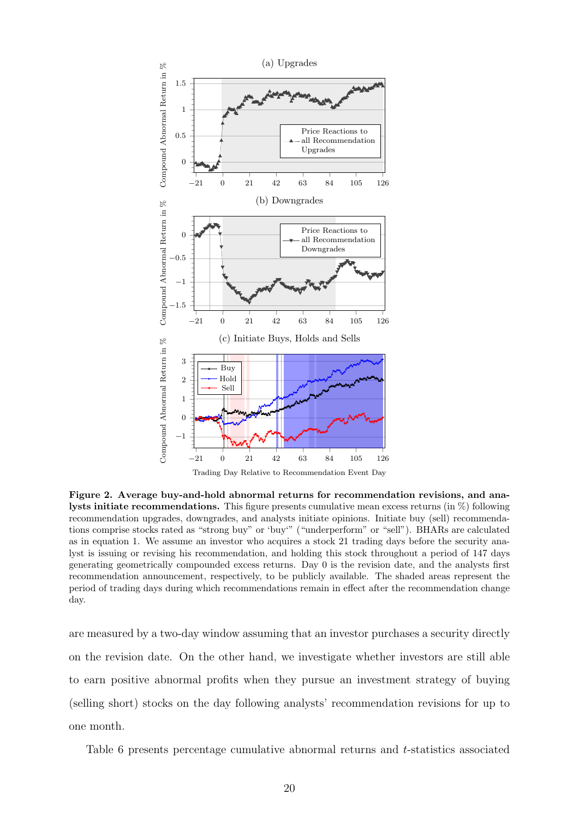

Figure 2. Average buy-and-hold abnormal returns for recommendation revisions, and analysts initiate recommendations. This figure presents cumulative mean excess returns (in %) following recommendation upgrades, downgrades, and analysts initiate opinions. Initiate buy (sell) recommendations comprise stocks rated as "strong buy" or 'buy'" ("underperform" or "sell"). BHARs are calculated as in equation 1. We assume an investor who acquires a stock 21 trading days before the security analyst is issuing or revising his recommendation, and holding this stock throughout a period of 147 days generating geometrically compounded excess returns. Day 0 is the revision date, and the analysts first recommendation announcement, respectively, to be publicly available. The shaded areas represent the period of trading days during which recommendations remain in effect after the recommendation change day.

are measured by a two-day window assuming that an investor purchases a security directly on the revision date. On the other hand, we investigate whether investors are still able to earn positive abnormal profits when they pursue an investment strategy of buying (selling short) stocks on the day following analysts' recommendation revisions for up to one month.

Table 6 presents percentage cumulative abnormal returns and t-statistics associated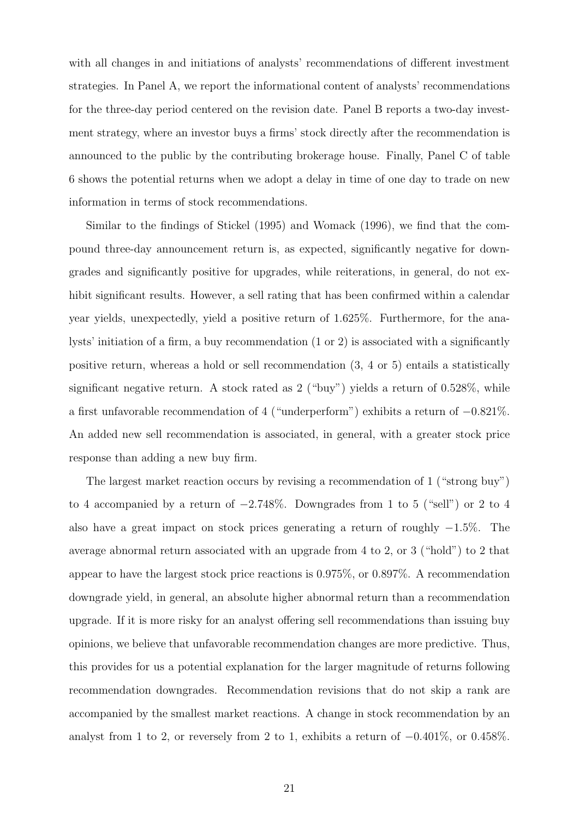with all changes in and initiations of analysts' recommendations of different investment strategies. In Panel A, we report the informational content of analysts' recommendations for the three-day period centered on the revision date. Panel B reports a two-day investment strategy, where an investor buys a firms' stock directly after the recommendation is announced to the public by the contributing brokerage house. Finally, Panel C of table 6 shows the potential returns when we adopt a delay in time of one day to trade on new information in terms of stock recommendations.

Similar to the findings of Stickel (1995) and Womack (1996), we find that the compound three-day announcement return is, as expected, significantly negative for downgrades and significantly positive for upgrades, while reiterations, in general, do not exhibit significant results. However, a sell rating that has been confirmed within a calendar year yields, unexpectedly, yield a positive return of 1.625%. Furthermore, for the analysts' initiation of a firm, a buy recommendation (1 or 2) is associated with a significantly positive return, whereas a hold or sell recommendation (3, 4 or 5) entails a statistically significant negative return. A stock rated as 2 ("buy") yields a return of 0.528%, while a first unfavorable recommendation of 4 ("underperform") exhibits a return of −0.821%. An added new sell recommendation is associated, in general, with a greater stock price response than adding a new buy firm.

The largest market reaction occurs by revising a recommendation of 1 ("strong buy") to 4 accompanied by a return of  $-2.748\%$ . Downgrades from 1 to 5 ("sell") or 2 to 4 also have a great impact on stock prices generating a return of roughly −1.5%. The average abnormal return associated with an upgrade from 4 to 2, or 3 ("hold") to 2 that appear to have the largest stock price reactions is 0.975%, or 0.897%. A recommendation downgrade yield, in general, an absolute higher abnormal return than a recommendation upgrade. If it is more risky for an analyst offering sell recommendations than issuing buy opinions, we believe that unfavorable recommendation changes are more predictive. Thus, this provides for us a potential explanation for the larger magnitude of returns following recommendation downgrades. Recommendation revisions that do not skip a rank are accompanied by the smallest market reactions. A change in stock recommendation by an analyst from 1 to 2, or reversely from 2 to 1, exhibits a return of −0.401%, or 0.458%.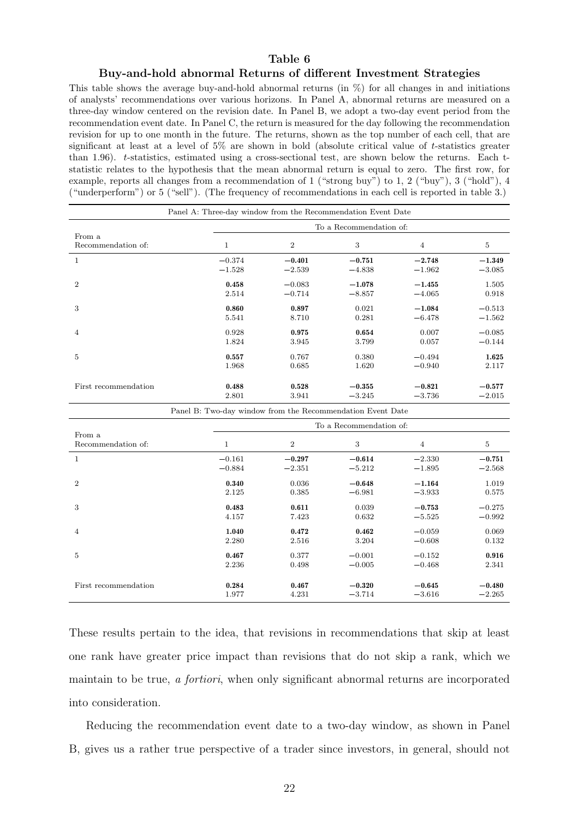#### Table 6

#### Buy-and-hold abnormal Returns of different Investment Strategies

This table shows the average buy-and-hold abnormal returns (in %) for all changes in and initiations of analysts' recommendations over various horizons. In Panel A, abnormal returns are measured on a three-day window centered on the revision date. In Panel B, we adopt a two-day event period from the recommendation event date. In Panel C, the return is measured for the day following the recommendation revision for up to one month in the future. The returns, shown as the top number of each cell, that are significant at least at a level of  $5\%$  are shown in bold (absolute critical value of t-statistics greater than 1.96). t-statistics, estimated using a cross-sectional test, are shown below the returns. Each tstatistic relates to the hypothesis that the mean abnormal return is equal to zero. The first row, for example, reports all changes from a recommendation of 1 ("strong buy") to 1, 2 ("buy"), 3 ("hold"), 4 ("underperform") or 5 ("sell"). (The frequency of recommendations in each cell is reported in table 3.)

|                      |          |                | To a Recommendation of: |          |          |
|----------------------|----------|----------------|-------------------------|----------|----------|
| From a               |          |                |                         |          |          |
| Recommendation of:   | 1        | $\overline{2}$ | 3                       | 4        | 5        |
| 1                    | $-0.374$ | $-0.401$       | $-0.751$                | $-2.748$ | $-1.349$ |
|                      | $-1.528$ | $-2.539$       | $-4.838$                | $-1.962$ | $-3.085$ |
| $\overline{2}$       | 0.458    | $-0.083$       | $-1.078$                | $-1.455$ | 1.505    |
|                      | 2.514    | $-0.714$       | $-8.857$                | $-4.065$ | 0.918    |
| 3                    | 0.860    | 0.897          | 0.021                   | $-1.084$ | $-0.513$ |
|                      | 5.541    | 8.710          | 0.281                   | $-6.478$ | $-1.562$ |
| 4                    | 0.928    | 0.975          | 0.654                   | 0.007    | $-0.085$ |
|                      | 1.824    | 3.945          | 3.799                   | 0.057    | $-0.144$ |
| 5                    | 0.557    | 0.767          | 0.380                   | $-0.494$ | 1.625    |
|                      | 1.968    | 0.685          | 1.620                   | $-0.940$ | 2.117    |
| First recommendation | 0.488    | 0.528          | $-0.355$                | $-0.821$ | $-0.577$ |
|                      | 2.801    | 3.941          | $-3.245$                | $-3.736$ | $-2.015$ |

|                      | 2.801                                                      | 3.941          | $-3.245$                | $-3.736$       | $-2.015$ |
|----------------------|------------------------------------------------------------|----------------|-------------------------|----------------|----------|
|                      | Panel B: Two-day window from the Recommendation Event Date |                |                         |                |          |
|                      |                                                            |                | To a Recommendation of: |                |          |
| From a               |                                                            |                |                         |                |          |
| Recommendation of:   | 1                                                          | $\overline{2}$ | 3                       | $\overline{4}$ | 5        |
| 1                    | $-0.161$                                                   | $-0.297$       | $-0.614$                | $-2.330$       | $-0.751$ |
|                      | $-0.884$                                                   | $-2.351$       | $-5.212$                | $-1.895$       | $-2.568$ |
| $\overline{2}$       | 0.340                                                      | 0.036          | $-0.648$                | $-1.164$       | 1.019    |
|                      | 2.125                                                      | 0.385          | $-6.981$                | $-3.933$       | 0.575    |
| 3                    | 0.483                                                      | 0.611          | 0.039                   | $-0.753$       | $-0.275$ |
|                      | 4.157                                                      | 7.423          | 0.632                   | $-5.525$       | $-0.992$ |
| $\overline{4}$       | 1.040                                                      | 0.472          | 0.462                   | $-0.059$       | 0.069    |
|                      | 2.280                                                      | 2.516          | 3.204                   | $-0.608$       | 0.132    |
| 5                    | 0.467                                                      | 0.377          | $-0.001$                | $-0.152$       | 0.916    |
|                      | 2.236                                                      | 0.498          | $-0.005$                | $-0.468$       | 2.341    |
|                      |                                                            |                |                         |                |          |
| First recommendation | 0.284                                                      | 0.467          | $-0.320$                | $-0.645$       | $-0.480$ |
|                      | 1.977                                                      | 4.231          | $-3.714$                | $-3.616$       | $-2.265$ |

These results pertain to the idea, that revisions in recommendations that skip at least one rank have greater price impact than revisions that do not skip a rank, which we maintain to be true, a fortiori, when only significant abnormal returns are incorporated into consideration.

Reducing the recommendation event date to a two-day window, as shown in Panel B, gives us a rather true perspective of a trader since investors, in general, should not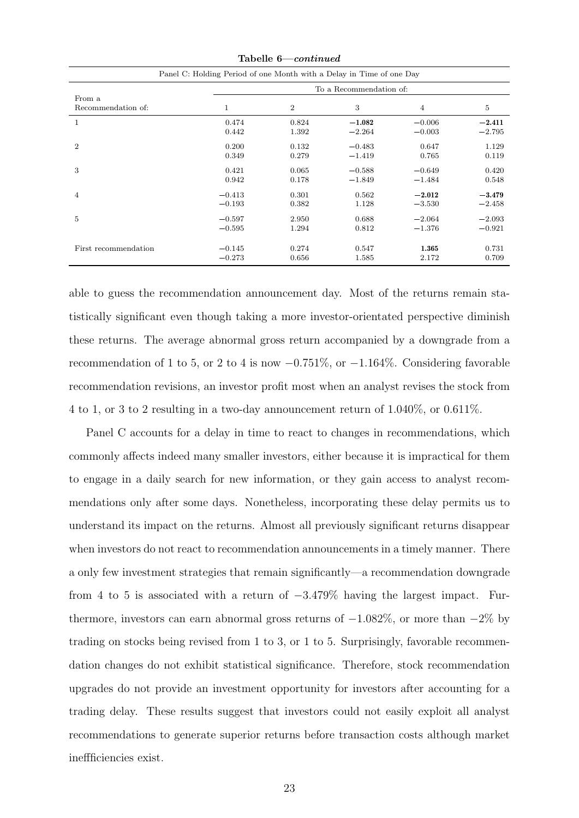|                      | Tabelle b—continued                                                  |                |                         |                |          |  |  |  |  |
|----------------------|----------------------------------------------------------------------|----------------|-------------------------|----------------|----------|--|--|--|--|
|                      | Panel C: Holding Period of one Month with a Delay in Time of one Day |                |                         |                |          |  |  |  |  |
|                      |                                                                      |                | To a Recommendation of: |                |          |  |  |  |  |
| From a               |                                                                      |                |                         |                |          |  |  |  |  |
| Recommendation of:   | 1                                                                    | $\overline{2}$ | 3                       | $\overline{4}$ | 5        |  |  |  |  |
| 1                    | 0.474                                                                | 0.824          | $-1.082$                | $-0.006$       | $-2.411$ |  |  |  |  |
|                      | 0.442                                                                | 1.392          | $-2.264$                | $-0.003$       | $-2.795$ |  |  |  |  |
| $\overline{2}$       | 0.200                                                                | 0.132          | $-0.483$                | 0.647          | 1.129    |  |  |  |  |
|                      | 0.349                                                                | 0.279          | $-1.419$                | 0.765          | 0.119    |  |  |  |  |
| 3                    | 0.421                                                                | 0.065          | $-0.588$                | $-0.649$       | 0.420    |  |  |  |  |
|                      | 0.942                                                                | 0.178          | $-1.849$                | $-1.484$       | 0.548    |  |  |  |  |
| 4                    | $-0.413$                                                             | 0.301          | 0.562                   | $-2.012$       | $-3.479$ |  |  |  |  |
|                      | $-0.193$                                                             | 0.382          | 1.128                   | $-3.530$       | $-2.458$ |  |  |  |  |
| 5                    | $-0.597$                                                             | 2.950          | 0.688                   | $-2.064$       | $-2.093$ |  |  |  |  |
|                      | $-0.595$                                                             | 1.294          | 0.812                   | $-1.376$       | $-0.921$ |  |  |  |  |
|                      |                                                                      |                |                         |                |          |  |  |  |  |
| First recommendation | $-0.145$                                                             | 0.274          | 0.547                   | 1.365          | 0.731    |  |  |  |  |
|                      | $-0.273$                                                             | 0.656          | 1.585                   | 2.172          | 0.709    |  |  |  |  |

Tabelle 6—continued

able to guess the recommendation announcement day. Most of the returns remain statistically significant even though taking a more investor-orientated perspective diminish these returns. The average abnormal gross return accompanied by a downgrade from a recommendation of 1 to 5, or 2 to 4 is now  $-0.751\%$ , or  $-1.164\%$ . Considering favorable recommendation revisions, an investor profit most when an analyst revises the stock from 4 to 1, or 3 to 2 resulting in a two-day announcement return of 1.040%, or 0.611%.

Panel C accounts for a delay in time to react to changes in recommendations, which commonly affects indeed many smaller investors, either because it is impractical for them to engage in a daily search for new information, or they gain access to analyst recommendations only after some days. Nonetheless, incorporating these delay permits us to understand its impact on the returns. Almost all previously significant returns disappear when investors do not react to recommendation announcements in a timely manner. There a only few investment strategies that remain significantly—a recommendation downgrade from 4 to 5 is associated with a return of  $-3.479\%$  having the largest impact. Furthermore, investors can earn abnormal gross returns of  $-1.082\%$ , or more than  $-2\%$  by trading on stocks being revised from 1 to 3, or 1 to 5. Surprisingly, favorable recommendation changes do not exhibit statistical significance. Therefore, stock recommendation upgrades do not provide an investment opportunity for investors after accounting for a trading delay. These results suggest that investors could not easily exploit all analyst recommendations to generate superior returns before transaction costs although market ineffficiencies exist.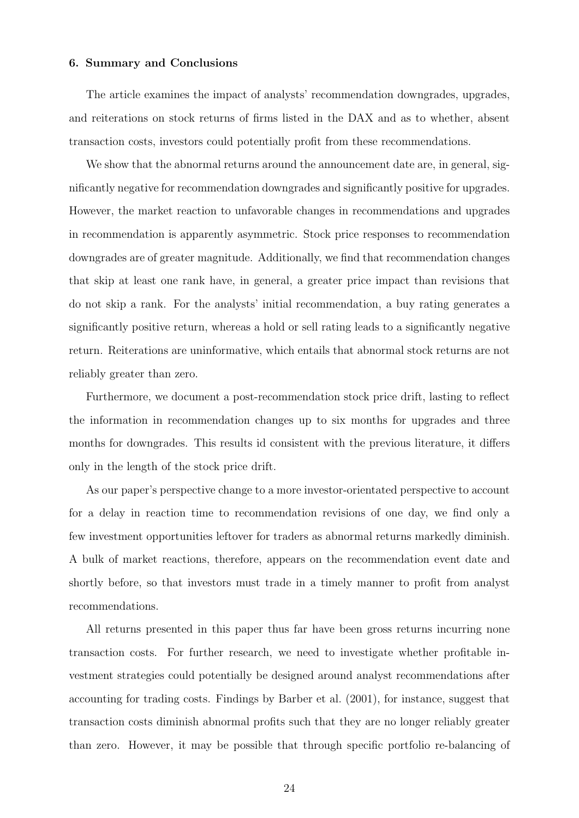#### 6. Summary and Conclusions

The article examines the impact of analysts' recommendation downgrades, upgrades, and reiterations on stock returns of firms listed in the DAX and as to whether, absent transaction costs, investors could potentially profit from these recommendations.

We show that the abnormal returns around the announcement date are, in general, significantly negative for recommendation downgrades and significantly positive for upgrades. However, the market reaction to unfavorable changes in recommendations and upgrades in recommendation is apparently asymmetric. Stock price responses to recommendation downgrades are of greater magnitude. Additionally, we find that recommendation changes that skip at least one rank have, in general, a greater price impact than revisions that do not skip a rank. For the analysts' initial recommendation, a buy rating generates a significantly positive return, whereas a hold or sell rating leads to a significantly negative return. Reiterations are uninformative, which entails that abnormal stock returns are not reliably greater than zero.

Furthermore, we document a post-recommendation stock price drift, lasting to reflect the information in recommendation changes up to six months for upgrades and three months for downgrades. This results id consistent with the previous literature, it differs only in the length of the stock price drift.

As our paper's perspective change to a more investor-orientated perspective to account for a delay in reaction time to recommendation revisions of one day, we find only a few investment opportunities leftover for traders as abnormal returns markedly diminish. A bulk of market reactions, therefore, appears on the recommendation event date and shortly before, so that investors must trade in a timely manner to profit from analyst recommendations.

All returns presented in this paper thus far have been gross returns incurring none transaction costs. For further research, we need to investigate whether profitable investment strategies could potentially be designed around analyst recommendations after accounting for trading costs. Findings by Barber et al. (2001), for instance, suggest that transaction costs diminish abnormal profits such that they are no longer reliably greater than zero. However, it may be possible that through specific portfolio re-balancing of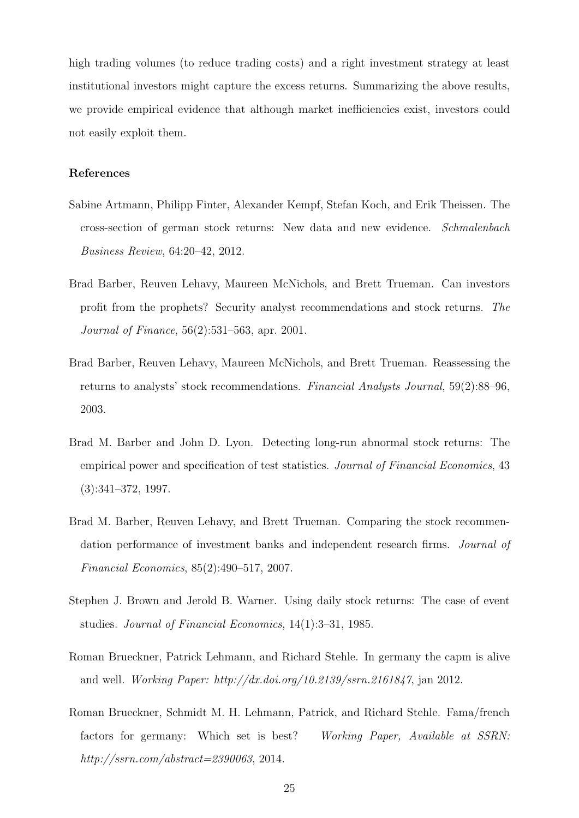high trading volumes (to reduce trading costs) and a right investment strategy at least institutional investors might capture the excess returns. Summarizing the above results, we provide empirical evidence that although market inefficiencies exist, investors could not easily exploit them.

#### References

- Sabine Artmann, Philipp Finter, Alexander Kempf, Stefan Koch, and Erik Theissen. The cross-section of german stock returns: New data and new evidence. Schmalenbach Business Review, 64:20–42, 2012.
- Brad Barber, Reuven Lehavy, Maureen McNichols, and Brett Trueman. Can investors profit from the prophets? Security analyst recommendations and stock returns. The Journal of Finance, 56(2):531–563, apr. 2001.
- Brad Barber, Reuven Lehavy, Maureen McNichols, and Brett Trueman. Reassessing the returns to analysts' stock recommendations. Financial Analysts Journal, 59(2):88–96, 2003.
- Brad M. Barber and John D. Lyon. Detecting long-run abnormal stock returns: The empirical power and specification of test statistics. Journal of Financial Economics, 43 (3):341–372, 1997.
- Brad M. Barber, Reuven Lehavy, and Brett Trueman. Comparing the stock recommendation performance of investment banks and independent research firms. Journal of Financial Economics, 85(2):490–517, 2007.
- Stephen J. Brown and Jerold B. Warner. Using daily stock returns: The case of event studies. Journal of Financial Economics, 14(1):3–31, 1985.
- Roman Brueckner, Patrick Lehmann, and Richard Stehle. In germany the capm is alive and well. Working Paper: http://dx.doi.org/10.2139/ssrn.2161847, jan 2012.
- Roman Brueckner, Schmidt M. H. Lehmann, Patrick, and Richard Stehle. Fama/french factors for germany: Which set is best? Working Paper, Available at SSRN: http://ssrn.com/abstract=2390063, 2014.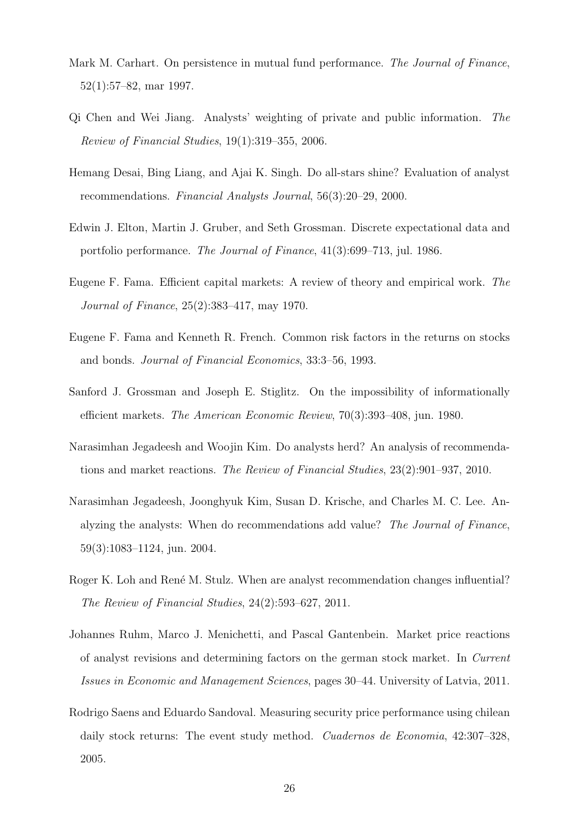- Mark M. Carhart. On persistence in mutual fund performance. The Journal of Finance, 52(1):57–82, mar 1997.
- Qi Chen and Wei Jiang. Analysts' weighting of private and public information. The Review of Financial Studies, 19(1):319–355, 2006.
- Hemang Desai, Bing Liang, and Ajai K. Singh. Do all-stars shine? Evaluation of analyst recommendations. Financial Analysts Journal, 56(3):20–29, 2000.
- Edwin J. Elton, Martin J. Gruber, and Seth Grossman. Discrete expectational data and portfolio performance. The Journal of Finance, 41(3):699–713, jul. 1986.
- Eugene F. Fama. Efficient capital markets: A review of theory and empirical work. The Journal of Finance, 25(2):383–417, may 1970.
- Eugene F. Fama and Kenneth R. French. Common risk factors in the returns on stocks and bonds. Journal of Financial Economics, 33:3–56, 1993.
- Sanford J. Grossman and Joseph E. Stiglitz. On the impossibility of informationally efficient markets. The American Economic Review, 70(3):393–408, jun. 1980.
- Narasimhan Jegadeesh and Woojin Kim. Do analysts herd? An analysis of recommendations and market reactions. The Review of Financial Studies, 23(2):901–937, 2010.
- Narasimhan Jegadeesh, Joonghyuk Kim, Susan D. Krische, and Charles M. C. Lee. Analyzing the analysts: When do recommendations add value? The Journal of Finance, 59(3):1083–1124, jun. 2004.
- Roger K. Loh and René M. Stulz. When are analyst recommendation changes influential? The Review of Financial Studies, 24(2):593–627, 2011.
- Johannes Ruhm, Marco J. Menichetti, and Pascal Gantenbein. Market price reactions of analyst revisions and determining factors on the german stock market. In Current Issues in Economic and Management Sciences, pages 30–44. University of Latvia, 2011.
- Rodrigo Saens and Eduardo Sandoval. Measuring security price performance using chilean daily stock returns: The event study method. *Cuadernos de Economia*, 42:307–328, 2005.